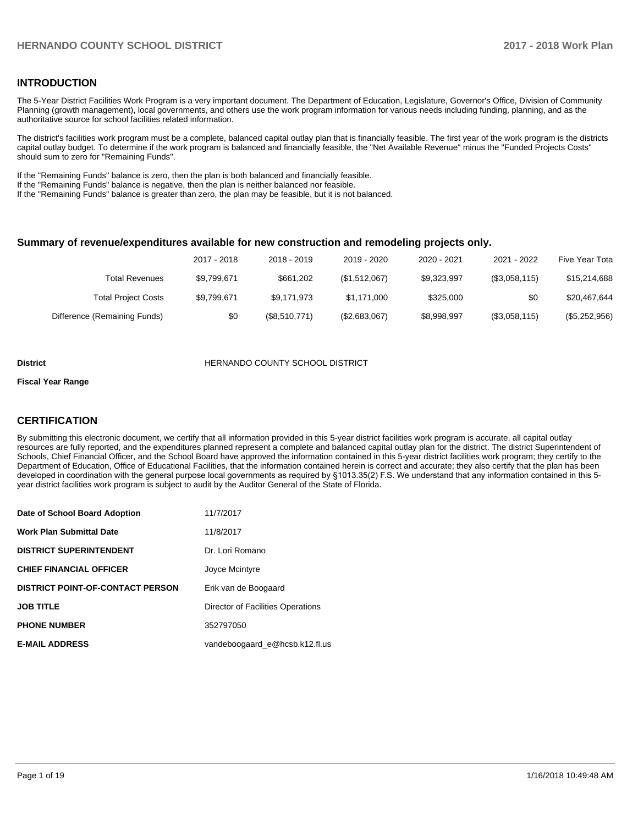## **INTRODUCTION**

The 5-Year District Facilities Work Program is a very important document. The Department of Education, Legislature, Governor's Office, Division of Community Planning (growth management), local governments, and others use the work program information for various needs including funding, planning, and as the authoritative source for school facilities related information.

The district's facilities work program must be a complete, balanced capital outlay plan that is financially feasible. The first year of the work program is the districts capital outlay budget. To determine if the work program is balanced and financially feasible, the "Net Available Revenue" minus the "Funded Projects Costs" should sum to zero for "Remaining Funds".

If the "Remaining Funds" balance is zero, then the plan is both balanced and financially feasible.

If the "Remaining Funds" balance is negative, then the plan is neither balanced nor feasible.

If the "Remaining Funds" balance is greater than zero, the plan may be feasible, but it is not balanced.

#### **Summary of revenue/expenditures available for new construction and remodeling projects only.**

| Five Year Tota | 2021 - 2022   | 2020 - 2021 | 2019 - 2020   | 2018 - 2019   | 2017 - 2018 |                              |
|----------------|---------------|-------------|---------------|---------------|-------------|------------------------------|
| \$15,214,688   | (\$3,058,115) | \$9,323,997 | (\$1,512,067) | \$661.202     | \$9,799,671 | Total Revenues               |
| \$20,467,644   | \$0           | \$325,000   | \$1.171.000   | \$9.171.973   | \$9,799,671 | <b>Total Project Costs</b>   |
| (\$5,252,956)  | (\$3,058,115) | \$8,998,997 | (\$2,683,067) | (\$8,510,771) | \$0         | Difference (Remaining Funds) |

#### **District COUNTY SCHOOL DISTRICT**

#### **Fiscal Year Range**

# **CERTIFICATION**

By submitting this electronic document, we certify that all information provided in this 5-year district facilities work program is accurate, all capital outlay resources are fully reported, and the expenditures planned represent a complete and balanced capital outlay plan for the district. The district Superintendent of Schools, Chief Financial Officer, and the School Board have approved the information contained in this 5-year district facilities work program; they certify to the Department of Education, Office of Educational Facilities, that the information contained herein is correct and accurate; they also certify that the plan has been developed in coordination with the general purpose local governments as required by §1013.35(2) F.S. We understand that any information contained in this 5year district facilities work program is subject to audit by the Auditor General of the State of Florida.

| Date of School Board Adoption           | 11/7/2017                         |
|-----------------------------------------|-----------------------------------|
| <b>Work Plan Submittal Date</b>         | 11/8/2017                         |
| <b>DISTRICT SUPERINTENDENT</b>          | Dr. Lori Romano                   |
| <b>CHIEF FINANCIAL OFFICER</b>          | Joyce Mcintyre                    |
| <b>DISTRICT POINT-OF-CONTACT PERSON</b> | Erik van de Boogaard              |
| <b>JOB TITLE</b>                        | Director of Facilities Operations |
| <b>PHONE NUMBER</b>                     | 352797050                         |
| <b>E-MAIL ADDRESS</b>                   | vandeboogaard e@hcsb.k12.fl.us    |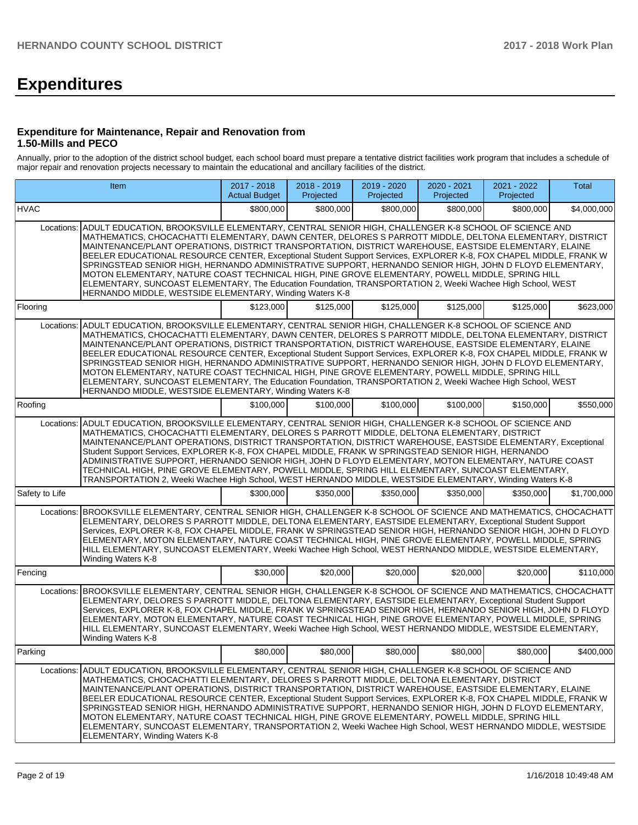# **Expenditures**

### **Expenditure for Maintenance, Repair and Renovation from 1.50-Mills and PECO**

Annually, prior to the adoption of the district school budget, each school board must prepare a tentative district facilities work program that includes a schedule of major repair and renovation projects necessary to maintain the educational and ancillary facilities of the district.

|                                                                                                                                                                                                                                                                                                                                                                                                                                                                                                                                                                                                                                                                                                                                                                    | Item                                                                                                                                                                                                                                                                                                                                                                                                                                                                                                                                                                                                                                                                                                                                                                                                                                      |           | 2018 - 2019<br>Projected | 2019 - 2020<br>Projected | 2020 - 2021<br>Projected | 2021 - 2022<br>Projected | Total       |  |  |  |  |  |  |
|--------------------------------------------------------------------------------------------------------------------------------------------------------------------------------------------------------------------------------------------------------------------------------------------------------------------------------------------------------------------------------------------------------------------------------------------------------------------------------------------------------------------------------------------------------------------------------------------------------------------------------------------------------------------------------------------------------------------------------------------------------------------|-------------------------------------------------------------------------------------------------------------------------------------------------------------------------------------------------------------------------------------------------------------------------------------------------------------------------------------------------------------------------------------------------------------------------------------------------------------------------------------------------------------------------------------------------------------------------------------------------------------------------------------------------------------------------------------------------------------------------------------------------------------------------------------------------------------------------------------------|-----------|--------------------------|--------------------------|--------------------------|--------------------------|-------------|--|--|--|--|--|--|
| <b>HVAC</b>                                                                                                                                                                                                                                                                                                                                                                                                                                                                                                                                                                                                                                                                                                                                                        |                                                                                                                                                                                                                                                                                                                                                                                                                                                                                                                                                                                                                                                                                                                                                                                                                                           | \$800,000 | \$800,000                | \$800,000                | \$800,000                | \$800,000                | \$4,000,000 |  |  |  |  |  |  |
| Locations:                                                                                                                                                                                                                                                                                                                                                                                                                                                                                                                                                                                                                                                                                                                                                         | ADULT EDUCATION, BROOKSVILLE ELEMENTARY, CENTRAL SENIOR HIGH, CHALLENGER K-8 SCHOOL OF SCIENCE AND<br>MATHEMATICS, CHOCACHATTI ELEMENTARY, DAWN CENTER, DELORES S PARROTT MIDDLE, DELTONA ELEMENTARY, DISTRICT<br>MAINTENANCE/PLANT OPERATIONS, DISTRICT TRANSPORTATION, DISTRICT WAREHOUSE, EASTSIDE ELEMENTARY, ELAINE<br>BEELER EDUCATIONAL RESOURCE CENTER, Exceptional Student Support Services, EXPLORER K-8, FOX CHAPEL MIDDLE, FRANK W<br>SPRINGSTEAD SENIOR HIGH, HERNANDO ADMINISTRATIVE SUPPORT, HERNANDO SENIOR HIGH, JOHN D FLOYD ELEMENTARY,<br>MOTON ELEMENTARY, NATURE COAST TECHNICAL HIGH, PINE GROVE ELEMENTARY, POWELL MIDDLE, SPRING HILL<br>ELEMENTARY, SUNCOAST ELEMENTARY, The Education Foundation, TRANSPORTATION 2, Weeki Wachee High School, WEST<br>HERNANDO MIDDLE, WESTSIDE ELEMENTARY, Winding Waters K-8 |           |                          |                          |                          |                          |             |  |  |  |  |  |  |
| Flooring                                                                                                                                                                                                                                                                                                                                                                                                                                                                                                                                                                                                                                                                                                                                                           |                                                                                                                                                                                                                                                                                                                                                                                                                                                                                                                                                                                                                                                                                                                                                                                                                                           | \$123,000 | \$125,000                | \$125,000                | \$125,000                | \$125,000                | \$623,000   |  |  |  |  |  |  |
| Locations:                                                                                                                                                                                                                                                                                                                                                                                                                                                                                                                                                                                                                                                                                                                                                         | ADULT EDUCATION, BROOKSVILLE ELEMENTARY, CENTRAL SENIOR HIGH, CHALLENGER K-8 SCHOOL OF SCIENCE AND<br>MATHEMATICS, CHOCACHATTI ELEMENTARY, DAWN CENTER, DELORES S PARROTT MIDDLE, DELTONA ELEMENTARY, DISTRICT<br>MAINTENANCE/PLANT OPERATIONS, DISTRICT TRANSPORTATION, DISTRICT WAREHOUSE, EASTSIDE ELEMENTARY, ELAINE<br>BEELER EDUCATIONAL RESOURCE CENTER, Exceptional Student Support Services, EXPLORER K-8, FOX CHAPEL MIDDLE, FRANK W<br>SPRINGSTEAD SENIOR HIGH, HERNANDO ADMINISTRATIVE SUPPORT, HERNANDO SENIOR HIGH, JOHN D FLOYD ELEMENTARY,<br>MOTON ELEMENTARY, NATURE COAST TECHNICAL HIGH, PINE GROVE ELEMENTARY, POWELL MIDDLE, SPRING HILL<br>ELEMENTARY, SUNCOAST ELEMENTARY, The Education Foundation, TRANSPORTATION 2, Weeki Wachee High School, WEST<br>HERNANDO MIDDLE, WESTSIDE ELEMENTARY, Winding Waters K-8 |           |                          |                          |                          |                          |             |  |  |  |  |  |  |
| Roofing                                                                                                                                                                                                                                                                                                                                                                                                                                                                                                                                                                                                                                                                                                                                                            |                                                                                                                                                                                                                                                                                                                                                                                                                                                                                                                                                                                                                                                                                                                                                                                                                                           | \$100,000 | \$100,000                | \$100,000                | \$100,000                | \$150,000                | \$550,000   |  |  |  |  |  |  |
| ADULT EDUCATION, BROOKSVILLE ELEMENTARY, CENTRAL SENIOR HIGH, CHALLENGER K-8 SCHOOL OF SCIENCE AND<br>Locations:<br>MATHEMATICS, CHOCACHATTI ELEMENTARY, DELORES S PARROTT MIDDLE, DELTONA ELEMENTARY, DISTRICT<br>MAINTENANCE/PLANT OPERATIONS, DISTRICT TRANSPORTATION, DISTRICT WAREHOUSE, EASTSIDE ELEMENTARY, Exceptional<br>Student Support Services, EXPLORER K-8, FOX CHAPEL MIDDLE, FRANK W SPRINGSTEAD SENIOR HIGH, HERNANDO<br>ADMINISTRATIVE SUPPORT, HERNANDO SENIOR HIGH, JOHN D FLOYD ELEMENTARY, MOTON ELEMENTARY, NATURE COAST<br>TECHNICAL HIGH, PINE GROVE ELEMENTARY, POWELL MIDDLE, SPRING HILL ELEMENTARY, SUNCOAST ELEMENTARY,<br>TRANSPORTATION 2, Weeki Wachee High School, WEST HERNANDO MIDDLE, WESTSIDE ELEMENTARY, Winding Waters K-8 |                                                                                                                                                                                                                                                                                                                                                                                                                                                                                                                                                                                                                                                                                                                                                                                                                                           |           |                          |                          |                          |                          |             |  |  |  |  |  |  |
| Safety to Life                                                                                                                                                                                                                                                                                                                                                                                                                                                                                                                                                                                                                                                                                                                                                     |                                                                                                                                                                                                                                                                                                                                                                                                                                                                                                                                                                                                                                                                                                                                                                                                                                           | \$300,000 | \$350,000                | \$350,000                | \$350,000                | \$350,000                | \$1,700,000 |  |  |  |  |  |  |
| Locations:                                                                                                                                                                                                                                                                                                                                                                                                                                                                                                                                                                                                                                                                                                                                                         | BROOKSVILLE ELEMENTARY, CENTRAL SENIOR HIGH, CHALLENGER K-8 SCHOOL OF SCIENCE AND MATHEMATICS, CHOCACHATT<br>ELEMENTARY, DELORES S PARROTT MIDDLE, DELTONA ELEMENTARY, EASTSIDE ELEMENTARY, Exceptional Student Support<br>Services, EXPLORER K-8, FOX CHAPEL MIDDLE, FRANK W SPRINGSTEAD SENIOR HIGH, HERNANDO SENIOR HIGH, JOHN D FLOYD<br>ELEMENTARY, MOTON ELEMENTARY, NATURE COAST TECHNICAL HIGH, PINE GROVE ELEMENTARY, POWELL MIDDLE, SPRING<br>HILL ELEMENTARY, SUNCOAST ELEMENTARY, Weeki Wachee High School, WEST HERNANDO MIDDLE, WESTSIDE ELEMENTARY,<br>Winding Waters K-8                                                                                                                                                                                                                                                  |           |                          |                          |                          |                          |             |  |  |  |  |  |  |
| Fencing                                                                                                                                                                                                                                                                                                                                                                                                                                                                                                                                                                                                                                                                                                                                                            |                                                                                                                                                                                                                                                                                                                                                                                                                                                                                                                                                                                                                                                                                                                                                                                                                                           | \$30,000  | \$20,000                 | \$20,000                 | \$20,000                 | \$20,000                 | \$110,000   |  |  |  |  |  |  |
|                                                                                                                                                                                                                                                                                                                                                                                                                                                                                                                                                                                                                                                                                                                                                                    | Locations: BROOKSVILLE ELEMENTARY, CENTRAL SENIOR HIGH, CHALLENGER K-8 SCHOOL OF SCIENCE AND MATHEMATICS, CHOCACHATT<br>ELEMENTARY, DELORES S PARROTT MIDDLE, DELTONA ELEMENTARY, EASTSIDE ELEMENTARY, Exceptional Student Support<br>Services, EXPLORER K-8, FOX CHAPEL MIDDLE, FRANK W SPRINGSTEAD SENIOR HIGH, HERNANDO SENIOR HIGH, JOHN D FLOYD<br>ELEMENTARY, MOTON ELEMENTARY, NATURE COAST TECHNICAL HIGH, PINE GROVE ELEMENTARY, POWELL MIDDLE, SPRING<br>HILL ELEMENTARY, SUNCOAST ELEMENTARY, Weeki Wachee High School, WEST HERNANDO MIDDLE, WESTSIDE ELEMENTARY,<br>Winding Waters K-8                                                                                                                                                                                                                                       |           |                          |                          |                          |                          |             |  |  |  |  |  |  |
| Parking                                                                                                                                                                                                                                                                                                                                                                                                                                                                                                                                                                                                                                                                                                                                                            |                                                                                                                                                                                                                                                                                                                                                                                                                                                                                                                                                                                                                                                                                                                                                                                                                                           | \$80,000  | \$80,000                 | \$80,000                 | \$80,000                 | \$80,000                 | \$400,000   |  |  |  |  |  |  |
| Locations:                                                                                                                                                                                                                                                                                                                                                                                                                                                                                                                                                                                                                                                                                                                                                         | ADULT EDUCATION, BROOKSVILLE ELEMENTARY, CENTRAL SENIOR HIGH, CHALLENGER K-8 SCHOOL OF SCIENCE AND<br>MATHEMATICS, CHOCACHATTI ELEMENTARY, DELORES S PARROTT MIDDLE, DELTONA ELEMENTARY, DISTRICT<br>MAINTENANCE/PLANT OPERATIONS, DISTRICT TRANSPORTATION, DISTRICT WAREHOUSE, EASTSIDE ELEMENTARY, ELAINE<br>BEELER EDUCATIONAL RESOURCE CENTER, Exceptional Student Support Services, EXPLORER K-8, FOX CHAPEL MIDDLE, FRANK W<br>SPRINGSTEAD SENIOR HIGH, HERNANDO ADMINISTRATIVE SUPPORT, HERNANDO SENIOR HIGH, JOHN D FLOYD ELEMENTARY,<br>MOTON ELEMENTARY, NATURE COAST TECHNICAL HIGH, PINE GROVE ELEMENTARY, POWELL MIDDLE, SPRING HILL<br>ELEMENTARY, SUNCOAST ELEMENTARY, TRANSPORTATION 2, Weeki Wachee High School, WEST HERNANDO MIDDLE, WESTSIDE<br>ELEMENTARY, Winding Waters K-8                                        |           |                          |                          |                          |                          |             |  |  |  |  |  |  |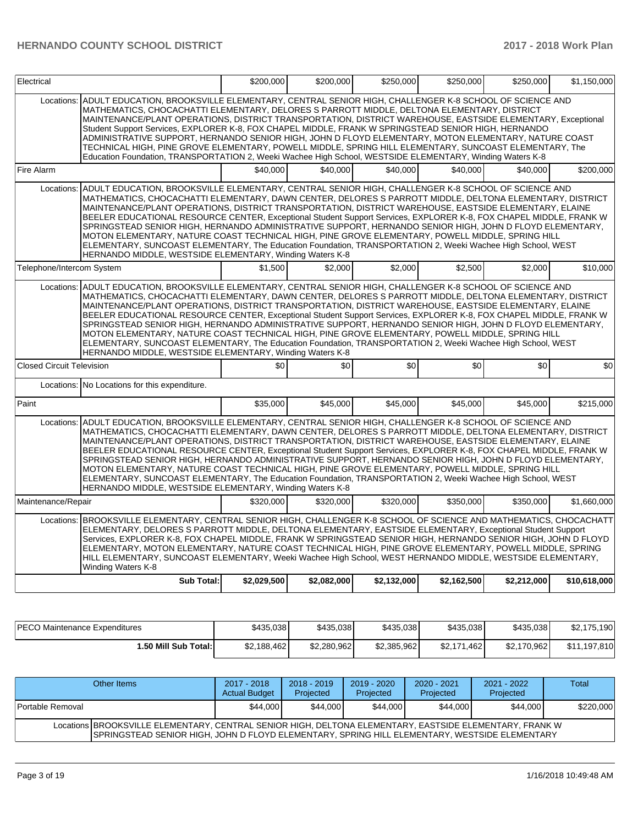| Electrical                                                                                                                                                                                                                                                                                                                                                                                                                                                                                                                                                                                                                                                                                                                                                                                                                                              |                                                                                                                                                                                                                                                                                                                                                                                                                                                                                                                                                                                                                                                                                                                                                                                                                                           | \$200.000   | \$200.000   | \$250.000   | \$250.000   | \$250,000   | \$1,150,000  |  |  |  |
|---------------------------------------------------------------------------------------------------------------------------------------------------------------------------------------------------------------------------------------------------------------------------------------------------------------------------------------------------------------------------------------------------------------------------------------------------------------------------------------------------------------------------------------------------------------------------------------------------------------------------------------------------------------------------------------------------------------------------------------------------------------------------------------------------------------------------------------------------------|-------------------------------------------------------------------------------------------------------------------------------------------------------------------------------------------------------------------------------------------------------------------------------------------------------------------------------------------------------------------------------------------------------------------------------------------------------------------------------------------------------------------------------------------------------------------------------------------------------------------------------------------------------------------------------------------------------------------------------------------------------------------------------------------------------------------------------------------|-------------|-------------|-------------|-------------|-------------|--------------|--|--|--|
| Locations:                                                                                                                                                                                                                                                                                                                                                                                                                                                                                                                                                                                                                                                                                                                                                                                                                                              | ADULT EDUCATION, BROOKSVILLE ELEMENTARY, CENTRAL SENIOR HIGH, CHALLENGER K-8 SCHOOL OF SCIENCE AND<br>MATHEMATICS, CHOCACHATTI ELEMENTARY, DELORES S PARROTT MIDDLE, DELTONA ELEMENTARY, DISTRICT<br>MAINTENANCE/PLANT OPERATIONS, DISTRICT TRANSPORTATION, DISTRICT WAREHOUSE, EASTSIDE ELEMENTARY, Exceptional<br>Student Support Services, EXPLORER K-8, FOX CHAPEL MIDDLE, FRANK W SPRINGSTEAD SENIOR HIGH, HERNANDO<br>ADMINISTRATIVE SUPPORT, HERNANDO SENIOR HIGH, JOHN D FLOYD ELEMENTARY, MOTON ELEMENTARY, NATURE COAST<br>TECHNICAL HIGH, PINE GROVE ELEMENTARY, POWELL MIDDLE, SPRING HILL ELEMENTARY, SUNCOAST ELEMENTARY, The<br>Education Foundation, TRANSPORTATION 2, Weeki Wachee High School, WESTSIDE ELEMENTARY, Winding Waters K-8                                                                                  |             |             |             |             |             |              |  |  |  |
| Fire Alarm                                                                                                                                                                                                                                                                                                                                                                                                                                                                                                                                                                                                                                                                                                                                                                                                                                              |                                                                                                                                                                                                                                                                                                                                                                                                                                                                                                                                                                                                                                                                                                                                                                                                                                           | \$40,000    | \$40,000    | \$40,000    | \$40,000    | \$40,000    | \$200,000    |  |  |  |
| Locations:                                                                                                                                                                                                                                                                                                                                                                                                                                                                                                                                                                                                                                                                                                                                                                                                                                              | ADULT EDUCATION, BROOKSVILLE ELEMENTARY, CENTRAL SENIOR HIGH, CHALLENGER K-8 SCHOOL OF SCIENCE AND<br>MATHEMATICS, CHOCACHATTI ELEMENTARY, DAWN CENTER, DELORES S PARROTT MIDDLE, DELTONA ELEMENTARY, DISTRICT<br>MAINTENANCE/PLANT OPERATIONS, DISTRICT TRANSPORTATION, DISTRICT WAREHOUSE, EASTSIDE ELEMENTARY, ELAINE<br>BEELER EDUCATIONAL RESOURCE CENTER, Exceptional Student Support Services, EXPLORER K-8, FOX CHAPEL MIDDLE, FRANK W<br>SPRINGSTEAD SENIOR HIGH, HERNANDO ADMINISTRATIVE SUPPORT, HERNANDO SENIOR HIGH, JOHN D FLOYD ELEMENTARY,<br>MOTON ELEMENTARY, NATURE COAST TECHNICAL HIGH, PINE GROVE ELEMENTARY, POWELL MIDDLE, SPRING HILL<br>ELEMENTARY, SUNCOAST ELEMENTARY, The Education Foundation, TRANSPORTATION 2, Weeki Wachee High School, WEST<br>HERNANDO MIDDLE, WESTSIDE ELEMENTARY, Winding Waters K-8 |             |             |             |             |             |              |  |  |  |
| Telephone/Intercom System                                                                                                                                                                                                                                                                                                                                                                                                                                                                                                                                                                                                                                                                                                                                                                                                                               |                                                                                                                                                                                                                                                                                                                                                                                                                                                                                                                                                                                                                                                                                                                                                                                                                                           | \$1,500     | \$2,000     | \$2,000     | \$2,500     | \$2,000     | \$10,000     |  |  |  |
| Locations: ADULT EDUCATION, BROOKSVILLE ELEMENTARY, CENTRAL SENIOR HIGH, CHALLENGER K-8 SCHOOL OF SCIENCE AND<br>MATHEMATICS, CHOCACHATTI ELEMENTARY, DAWN CENTER, DELORES S PARROTT MIDDLE, DELTONA ELEMENTARY, DISTRICT<br>MAINTENANCE/PLANT OPERATIONS, DISTRICT TRANSPORTATION, DISTRICT WAREHOUSE, EASTSIDE ELEMENTARY, ELAINE<br>BEELER EDUCATIONAL RESOURCE CENTER, Exceptional Student Support Services, EXPLORER K-8, FOX CHAPEL MIDDLE, FRANK W<br>SPRINGSTEAD SENIOR HIGH, HERNANDO ADMINISTRATIVE SUPPORT, HERNANDO SENIOR HIGH, JOHN D FLOYD ELEMENTARY,<br>MOTON ELEMENTARY, NATURE COAST TECHNICAL HIGH, PINE GROVE ELEMENTARY, POWELL MIDDLE, SPRING HILL<br>ELEMENTARY, SUNCOAST ELEMENTARY, The Education Foundation, TRANSPORTATION 2, Weeki Wachee High School, WEST<br>HERNANDO MIDDLE, WESTSIDE ELEMENTARY, Winding Waters K-8    |                                                                                                                                                                                                                                                                                                                                                                                                                                                                                                                                                                                                                                                                                                                                                                                                                                           |             |             |             |             |             |              |  |  |  |
| <b>Closed Circuit Television</b>                                                                                                                                                                                                                                                                                                                                                                                                                                                                                                                                                                                                                                                                                                                                                                                                                        |                                                                                                                                                                                                                                                                                                                                                                                                                                                                                                                                                                                                                                                                                                                                                                                                                                           | \$0         | \$0         | \$0         | \$0         | \$0         | \$0          |  |  |  |
| Locations:                                                                                                                                                                                                                                                                                                                                                                                                                                                                                                                                                                                                                                                                                                                                                                                                                                              | No Locations for this expenditure.                                                                                                                                                                                                                                                                                                                                                                                                                                                                                                                                                                                                                                                                                                                                                                                                        |             |             |             |             |             |              |  |  |  |
| Paint                                                                                                                                                                                                                                                                                                                                                                                                                                                                                                                                                                                                                                                                                                                                                                                                                                                   |                                                                                                                                                                                                                                                                                                                                                                                                                                                                                                                                                                                                                                                                                                                                                                                                                                           | \$35,000    | \$45,000    | \$45,000    | \$45,000    | \$45,000    | \$215,000    |  |  |  |
| ADULT EDUCATION, BROOKSVILLE ELEMENTARY, CENTRAL SENIOR HIGH, CHALLENGER K-8 SCHOOL OF SCIENCE AND<br>Locations:<br>MATHEMATICS, CHOCACHATTI ELEMENTARY, DAWN CENTER, DELORES S PARROTT MIDDLE, DELTONA ELEMENTARY, DISTRICT<br>MAINTENANCE/PLANT OPERATIONS, DISTRICT TRANSPORTATION, DISTRICT WAREHOUSE, EASTSIDE ELEMENTARY, ELAINE<br>BEELER EDUCATIONAL RESOURCE CENTER, Exceptional Student Support Services, EXPLORER K-8, FOX CHAPEL MIDDLE, FRANK W<br>SPRINGSTEAD SENIOR HIGH, HERNANDO ADMINISTRATIVE SUPPORT, HERNANDO SENIOR HIGH, JOHN D FLOYD ELEMENTARY,<br>MOTON ELEMENTARY, NATURE COAST TECHNICAL HIGH, PINE GROVE ELEMENTARY, POWELL MIDDLE, SPRING HILL<br>ELEMENTARY, SUNCOAST ELEMENTARY, The Education Foundation, TRANSPORTATION 2, Weeki Wachee High School, WEST<br>HERNANDO MIDDLE, WESTSIDE ELEMENTARY, Winding Waters K-8 |                                                                                                                                                                                                                                                                                                                                                                                                                                                                                                                                                                                                                                                                                                                                                                                                                                           |             |             |             |             |             |              |  |  |  |
| Maintenance/Repair                                                                                                                                                                                                                                                                                                                                                                                                                                                                                                                                                                                                                                                                                                                                                                                                                                      |                                                                                                                                                                                                                                                                                                                                                                                                                                                                                                                                                                                                                                                                                                                                                                                                                                           | \$320,000   | \$320,000   | \$320,000   | \$350,000   | \$350,000   | \$1,660,000  |  |  |  |
|                                                                                                                                                                                                                                                                                                                                                                                                                                                                                                                                                                                                                                                                                                                                                                                                                                                         | Locations: BROOKSVILLE ELEMENTARY, CENTRAL SENIOR HIGH, CHALLENGER K-8 SCHOOL OF SCIENCE AND MATHEMATICS, CHOCACHATT<br>ELEMENTARY, DELORES S PARROTT MIDDLE, DELTONA ELEMENTARY, EASTSIDE ELEMENTARY, Exceptional Student Support<br>Services, EXPLORER K-8, FOX CHAPEL MIDDLE, FRANK W SPRINGSTEAD SENIOR HIGH, HERNANDO SENIOR HIGH, JOHN D FLOYD<br>ELEMENTARY, MOTON ELEMENTARY, NATURE COAST TECHNICAL HIGH, PINE GROVE ELEMENTARY, POWELL MIDDLE, SPRING<br>HILL ELEMENTARY, SUNCOAST ELEMENTARY, Weeki Wachee High School, WEST HERNANDO MIDDLE, WESTSIDE ELEMENTARY,<br>Winding Waters K-8                                                                                                                                                                                                                                       |             |             |             |             |             |              |  |  |  |
|                                                                                                                                                                                                                                                                                                                                                                                                                                                                                                                                                                                                                                                                                                                                                                                                                                                         | <b>Sub Total:</b>                                                                                                                                                                                                                                                                                                                                                                                                                                                                                                                                                                                                                                                                                                                                                                                                                         | \$2,029,500 | \$2,082,000 | \$2,132,000 | \$2,162,500 | \$2,212,000 | \$10,618,000 |  |  |  |

| <b>IPECO Maintenance Expenditures</b> | \$435,038   | \$435,038   | \$435,038   | \$435,038       | \$435,038   | \$2,175,190  |
|---------------------------------------|-------------|-------------|-------------|-----------------|-------------|--------------|
| ا:50 Mill Sub Total.                  | \$2,188,462 | \$2,280,962 | \$2,385,962 | \$2,171<br>.462 | \$2,170,962 | \$11,197,810 |

| Other Items                                                                                                                                                                                               | 2017 - 2018<br><b>Actual Budget</b> | 2018 - 2019<br>Projected | 2019 - 2020<br>Projected | $2020 - 2021$<br>Projected | 2021 - 2022<br>Projected | <b>Total</b> |  |  |
|-----------------------------------------------------------------------------------------------------------------------------------------------------------------------------------------------------------|-------------------------------------|--------------------------|--------------------------|----------------------------|--------------------------|--------------|--|--|
| Portable Removal                                                                                                                                                                                          | \$44,000                            | \$44,000                 | \$44,000                 | \$44,000                   | \$44,000                 | \$220,000    |  |  |
| Locations BROOKSVILLE ELEMENTARY, CENTRAL SENIOR HIGH, DELTONA ELEMENTARY, EASTSIDE ELEMENTARY, FRANK W<br>ISPRINGSTEAD SENIOR HIGH. JOHN D FLOYD ELEMENTARY. SPRING HILL ELEMENTARY. WESTSIDE ELEMENTARY |                                     |                          |                          |                            |                          |              |  |  |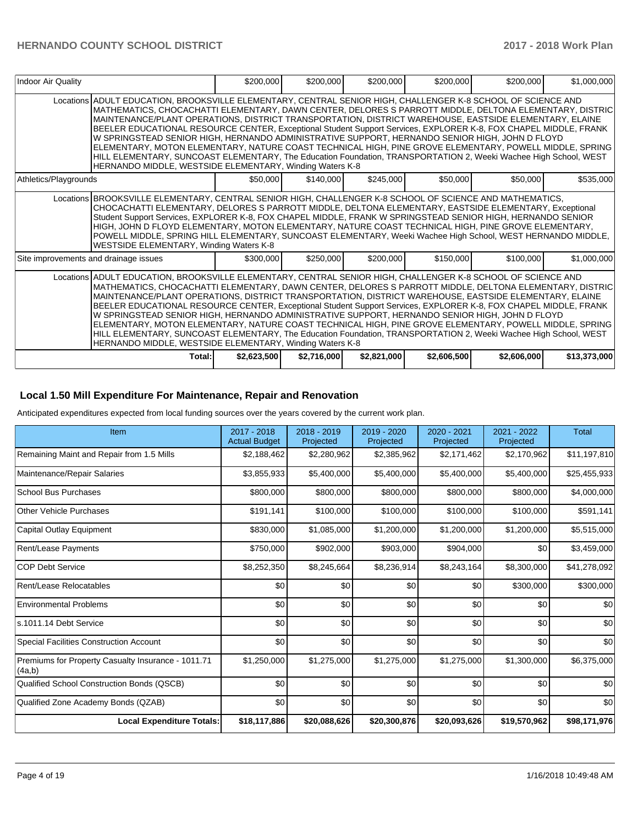| Indoor Air Quality                    |                                                                                                                                                                                                                                                                                                                                                                                                                                                                                                                                                                                                                                                                                                                                                                                                                                                     | \$200,000   | \$200,000   | \$200,000   | \$200,000   | \$200,000   | \$1,000,000  |
|---------------------------------------|-----------------------------------------------------------------------------------------------------------------------------------------------------------------------------------------------------------------------------------------------------------------------------------------------------------------------------------------------------------------------------------------------------------------------------------------------------------------------------------------------------------------------------------------------------------------------------------------------------------------------------------------------------------------------------------------------------------------------------------------------------------------------------------------------------------------------------------------------------|-------------|-------------|-------------|-------------|-------------|--------------|
|                                       | Locations ADULT EDUCATION, BROOKSVILLE ELEMENTARY, CENTRAL SENIOR HIGH, CHALLENGER K-8 SCHOOL OF SCIENCE AND<br>IMATHEMATICS. CHOCACHATTI ELEMENTARY. DAWN CENTER. DELORES S PARROTT MIDDLE. DELTONA ELEMENTARY. DISTRIC<br>MAINTENANCE/PLANT OPERATIONS, DISTRICT TRANSPORTATION, DISTRICT WAREHOUSE, EASTSIDE ELEMENTARY, ELAINE<br>BEELER EDUCATIONAL RESOURCE CENTER, Exceptional Student Support Services, EXPLORER K-8, FOX CHAPEL MIDDLE, FRANK<br>W SPRINGSTEAD SENIOR HIGH, HERNANDO ADMINISTRATIVE SUPPORT, HERNANDO SENIOR HIGH, JOHN D FLOYD<br>ELEMENTARY, MOTON ELEMENTARY, NATURE COAST TECHNICAL HIGH, PINE GROVE ELEMENTARY, POWELL MIDDLE, SPRING<br>HILL ELEMENTARY, SUNCOAST ELEMENTARY, The Education Foundation, TRANSPORTATION 2, Weeki Wachee High School, WEST<br>HERNANDO MIDDLE, WESTSIDE ELEMENTARY, Winding Waters K-8 |             |             |             |             |             |              |
| Athletics/Playgrounds                 |                                                                                                                                                                                                                                                                                                                                                                                                                                                                                                                                                                                                                                                                                                                                                                                                                                                     | \$50,000    | \$140,000   | \$245,000   | \$50,000    | \$50,000    | \$535,000    |
|                                       | Locations BROOKSVILLE ELEMENTARY, CENTRAL SENIOR HIGH, CHALLENGER K-8 SCHOOL OF SCIENCE AND MATHEMATICS,<br>CHOCACHATTI ELEMENTARY, DELORES S PARROTT MIDDLE, DELTONA ELEMENTARY, EASTSIDE ELEMENTARY, Exceptional<br>Student Support Services, EXPLORER K-8, FOX CHAPEL MIDDLE, FRANK W SPRINGSTEAD SENIOR HIGH, HERNANDO SENIOR<br>HIGH, JOHN D FLOYD ELEMENTARY, MOTON ELEMENTARY, NATURE COAST TECHNICAL HIGH, PINE GROVE ELEMENTARY,<br>POWELL MIDDLE, SPRING HILL ELEMENTARY, SUNCOAST ELEMENTARY, Weeki Wachee High School, WEST HERNANDO MIDDLE,<br>WESTSIDE ELEMENTARY, Winding Waters K-8                                                                                                                                                                                                                                                 |             |             |             |             |             |              |
| Site improvements and drainage issues |                                                                                                                                                                                                                                                                                                                                                                                                                                                                                                                                                                                                                                                                                                                                                                                                                                                     | \$300,000   | \$250,000   | \$200,000   | \$150,000   | \$100,000   | \$1,000,000  |
|                                       | Locations ADULT EDUCATION, BROOKSVILLE ELEMENTARY, CENTRAL SENIOR HIGH, CHALLENGER K-8 SCHOOL OF SCIENCE AND<br>MATHEMATICS, CHOCACHATTI ELEMENTARY, DAWN CENTER, DELORES S PARROTT MIDDLE, DELTONA ELEMENTARY, DISTRIC<br>MAINTENANCE/PLANT OPERATIONS, DISTRICT TRANSPORTATION, DISTRICT WAREHOUSE, EASTSIDE ELEMENTARY, ELAINE<br>BEELER EDUCATIONAL RESOURCE CENTER, Exceptional Student Support Services, EXPLORER K-8, FOX CHAPEL MIDDLE, FRANK<br>W SPRINGSTEAD SENIOR HIGH, HERNANDO ADMINISTRATIVE SUPPORT, HERNANDO SENIOR HIGH, JOHN D FLOYD<br>ELEMENTARY, MOTON ELEMENTARY, NATURE COAST TECHNICAL HIGH, PINE GROVE ELEMENTARY, POWELL MIDDLE, SPRING<br>HILL ELEMENTARY, SUNCOAST ELEMENTARY, The Education Foundation, TRANSPORTATION 2, Weeki Wachee High School, WEST<br>HERNANDO MIDDLE, WESTSIDE ELEMENTARY, Winding Waters K-8  |             |             |             |             |             |              |
|                                       | Total:                                                                                                                                                                                                                                                                                                                                                                                                                                                                                                                                                                                                                                                                                                                                                                                                                                              | \$2,623,500 | \$2,716,000 | \$2,821,000 | \$2,606,500 | \$2,606,000 | \$13,373,000 |

# **Local 1.50 Mill Expenditure For Maintenance, Repair and Renovation**

Anticipated expenditures expected from local funding sources over the years covered by the current work plan.

| Item                                                         | 2017 - 2018<br><b>Actual Budget</b> | 2018 - 2019<br>Projected | 2019 - 2020<br>Projected | 2020 - 2021<br>Projected | 2021 - 2022<br>Projected | <b>Total</b> |
|--------------------------------------------------------------|-------------------------------------|--------------------------|--------------------------|--------------------------|--------------------------|--------------|
| Remaining Maint and Repair from 1.5 Mills                    | \$2,188,462                         | \$2,280,962              | \$2,385,962              | \$2,171,462              | \$2,170,962              | \$11,197,810 |
| Maintenance/Repair Salaries                                  | \$3,855,933                         | \$5,400,000              | \$5,400,000              | \$5,400,000              | \$5,400,000              | \$25,455,933 |
| <b>School Bus Purchases</b>                                  | \$800,000                           | \$800,000                | \$800,000                | \$800,000                | \$800,000                | \$4,000,000  |
| Other Vehicle Purchases                                      | \$191,141                           | \$100,000                | \$100,000                | \$100,000                | \$100,000                | \$591,141    |
| Capital Outlay Equipment                                     | \$830,000                           | \$1,085,000              | \$1,200,000              | \$1,200,000              | \$1,200,000              | \$5,515,000  |
| <b>Rent/Lease Payments</b>                                   | \$750,000                           | \$902,000                | \$903,000                | \$904,000                | \$0                      | \$3,459,000  |
| <b>COP Debt Service</b>                                      | \$8,252,350                         | \$8,245,664              | \$8,236,914              | \$8,243,164              | \$8,300,000              | \$41,278,092 |
| Rent/Lease Relocatables                                      | \$0                                 | \$0                      | \$0                      | \$0                      | \$300,000                | \$300,000    |
| <b>Environmental Problems</b>                                | \$0                                 | \$0                      | \$0                      | \$0                      | \$0                      | \$0          |
| s.1011.14 Debt Service                                       | \$0                                 | \$0                      | \$0                      | \$0                      | \$0                      | \$0          |
| <b>Special Facilities Construction Account</b>               | \$0                                 | \$0                      | \$0                      | \$0                      | \$0                      | \$0          |
| Premiums for Property Casualty Insurance - 1011.71<br>(4a,b) | \$1,250,000                         | \$1,275,000              | \$1,275,000              | \$1,275,000              | \$1,300,000              | \$6,375,000  |
| Qualified School Construction Bonds (QSCB)                   | \$0                                 | \$0                      | \$0                      | \$0                      | \$0                      | \$0          |
| Qualified Zone Academy Bonds (QZAB)                          | \$0                                 | \$0                      | \$0                      | \$0                      | \$0                      | \$0          |
| <b>Local Expenditure Totals:</b>                             | \$18,117,886                        | \$20,088,626             | \$20,300,876             | \$20,093,626             | \$19,570,962             | \$98,171,976 |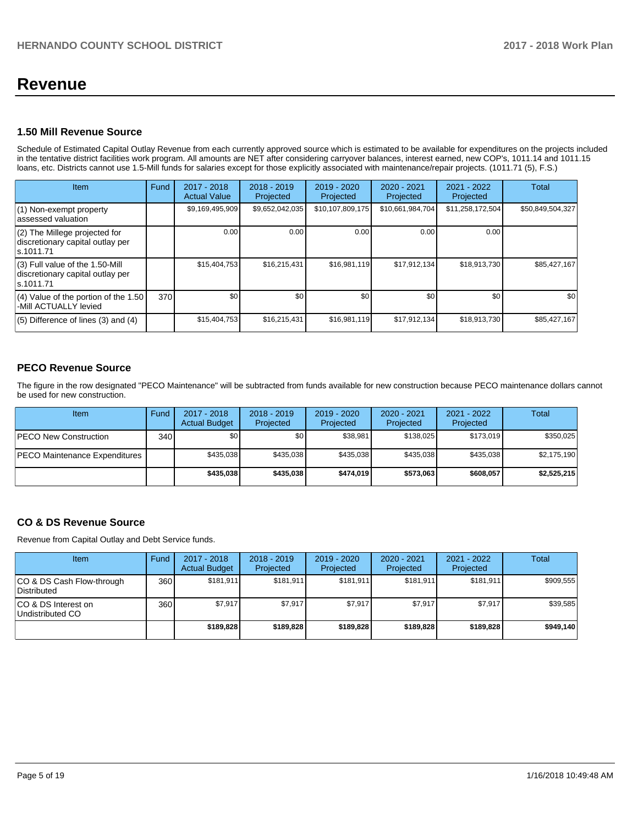# **Revenue**

# **1.50 Mill Revenue Source**

Schedule of Estimated Capital Outlay Revenue from each currently approved source which is estimated to be available for expenditures on the projects included in the tentative district facilities work program. All amounts are NET after considering carryover balances, interest earned, new COP's, 1011.14 and 1011.15 loans, etc. Districts cannot use 1.5-Mill funds for salaries except for those explicitly associated with maintenance/repair projects. (1011.71 (5), F.S.)

| Item                                                                                | Fund | $2017 - 2018$<br><b>Actual Value</b> | $2018 - 2019$<br>Projected | $2019 - 2020$<br>Projected | $2020 - 2021$<br>Projected | 2021 - 2022<br>Projected | <b>Total</b>     |
|-------------------------------------------------------------------------------------|------|--------------------------------------|----------------------------|----------------------------|----------------------------|--------------------------|------------------|
| $(1)$ Non-exempt property<br>assessed valuation                                     |      | \$9,169,495,909                      | \$9,652,042,035            | \$10,107,809,175           | \$10,661,984,704           | \$11,258,172,504         | \$50,849,504,327 |
| $(2)$ The Millege projected for<br>discretionary capital outlay per<br>ls.1011.71   |      | 0.00                                 | 0.00                       | 0.00                       | 0.00                       | 0.00                     |                  |
| $(3)$ Full value of the 1.50-Mill<br>discretionary capital outlay per<br>ls.1011.71 |      | \$15,404,753                         | \$16,215,431               | \$16,981,119               | \$17,912,134               | \$18,913,730             | \$85,427,167     |
| $(4)$ Value of the portion of the 1.50<br>-Mill ACTUALLY levied                     | 370  | \$0                                  | \$0                        | \$0                        | \$0                        | \$0                      | \$0              |
| $(5)$ Difference of lines $(3)$ and $(4)$                                           |      | \$15,404,753                         | \$16,215,431               | \$16,981,119               | \$17,912,134               | \$18,913,730             | \$85,427,167     |

# **PECO Revenue Source**

The figure in the row designated "PECO Maintenance" will be subtracted from funds available for new construction because PECO maintenance dollars cannot be used for new construction.

| Item                                 | Fund         | $2017 - 2018$<br><b>Actual Budget</b> | $2018 - 2019$<br>Projected | 2019 - 2020<br>Projected | $2020 - 2021$<br>Projected | 2021 - 2022<br>Projected | Total       |
|--------------------------------------|--------------|---------------------------------------|----------------------------|--------------------------|----------------------------|--------------------------|-------------|
| <b>PECO New Construction</b>         | 340 <b>I</b> | \$0                                   | \$0                        | \$38.981                 | \$138.025                  | \$173,019                | \$350,025   |
| <b>PECO Maintenance Expenditures</b> |              | \$435.038                             | \$435.038                  | \$435.038                | \$435.038                  | \$435.038                | \$2,175,190 |
|                                      |              | \$435,038                             | \$435,038                  | \$474.019                | \$573.063                  | \$608,057                | \$2,525,215 |

# **CO & DS Revenue Source**

Revenue from Capital Outlay and Debt Service funds.

| <b>Item</b>                                     | Fund | $2017 - 2018$<br><b>Actual Budget</b> | $2018 - 2019$<br>Projected | $2019 - 2020$<br>Projected | $2020 - 2021$<br>Projected | $2021 - 2022$<br>Projected | Total     |
|-------------------------------------------------|------|---------------------------------------|----------------------------|----------------------------|----------------------------|----------------------------|-----------|
| CO & DS Cash Flow-through<br><b>Distributed</b> | 360  | \$181.911                             | \$181,911                  | \$181.911                  | \$181.911                  | \$181,911                  | \$909,555 |
| CO & DS Interest on<br>Undistributed CO         | 360  | \$7,917                               | \$7.917                    | \$7,917                    | \$7,917                    | \$7,917                    | \$39,585  |
|                                                 |      | \$189,828                             | \$189,828                  | \$189,828                  | \$189.828                  | \$189,828                  | \$949,140 |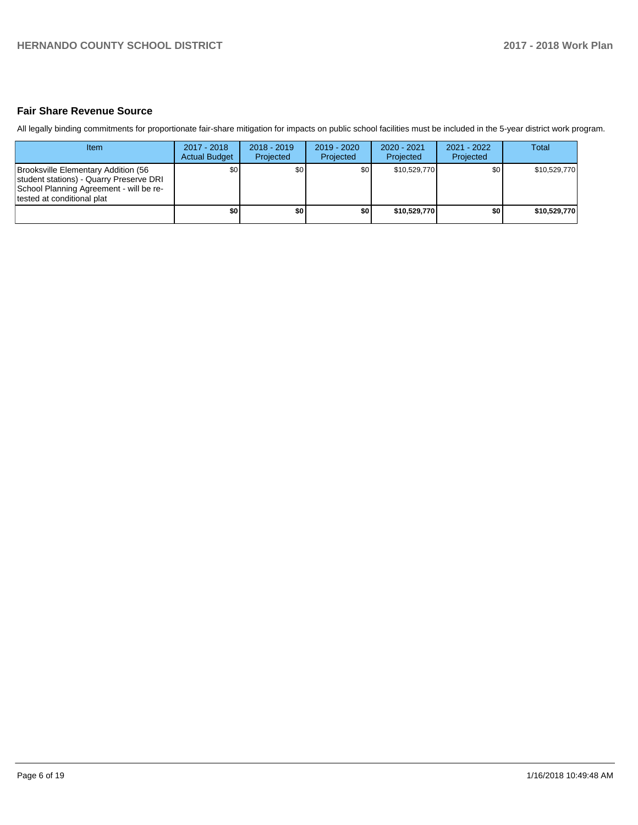# **Fair Share Revenue Source**

All legally binding commitments for proportionate fair-share mitigation for impacts on public school facilities must be included in the 5-year district work program.

| <b>Item</b>                                                                                                                                              | 2017 - 2018<br><b>Actual Budget</b> | $2018 - 2019$<br>Projected | $2019 - 2020$<br>Projected | $2020 - 2021$<br>Projected | $2021 - 2022$<br>Projected | <b>Total</b> |
|----------------------------------------------------------------------------------------------------------------------------------------------------------|-------------------------------------|----------------------------|----------------------------|----------------------------|----------------------------|--------------|
| Brooksville Elementary Addition (56<br>student stations) - Quarry Preserve DRI<br>School Planning Agreement - will be re-<br>Itested at conditional plat | ا S0                                | \$0                        | \$0                        | \$10.529.770               | \$0 <sub>1</sub>           | \$10.529.770 |
|                                                                                                                                                          | \$0                                 | \$0                        | \$0                        | \$10.529.770               | \$0                        | \$10,529,770 |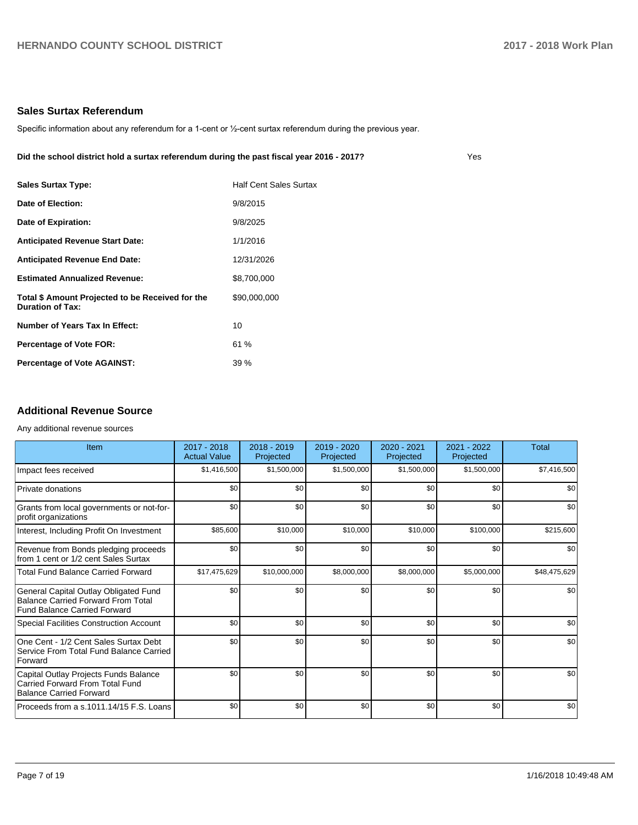### **Sales Surtax Referendum**

Specific information about any referendum for a 1-cent or 1/2-cent surtax referendum during the previous year.

**Did the school district hold a surtax referendum during the past fiscal year 2016 - 2017?**

| <b>Sales Surtax Type:</b>                                            | <b>Half Cent Sales Surtax</b> |
|----------------------------------------------------------------------|-------------------------------|
| Date of Election:                                                    | 9/8/2015                      |
| Date of Expiration:                                                  | 9/8/2025                      |
| <b>Anticipated Revenue Start Date:</b>                               | 1/1/2016                      |
| <b>Anticipated Revenue End Date:</b>                                 | 12/31/2026                    |
| <b>Estimated Annualized Revenue:</b>                                 | \$8,700,000                   |
| Total \$ Amount Projected to be Received for the<br>Duration of Tax: | \$90,000,000                  |
| Number of Years Tax In Effect:                                       | 10                            |
| <b>Percentage of Vote FOR:</b>                                       | 61%                           |
| <b>Percentage of Vote AGAINST:</b>                                   | 39%                           |

# **Additional Revenue Source**

#### Any additional revenue sources

| Item                                                                                                        | $2017 - 2018$<br><b>Actual Value</b> | $2018 - 2019$<br>Projected | 2019 - 2020<br>Projected | $2020 - 2021$<br>Projected | 2021 - 2022<br>Projected | <b>Total</b> |
|-------------------------------------------------------------------------------------------------------------|--------------------------------------|----------------------------|--------------------------|----------------------------|--------------------------|--------------|
| Impact fees received                                                                                        | \$1,416,500                          | \$1,500,000                | \$1,500,000              | \$1,500,000                | \$1,500,000              | \$7,416,500  |
| Private donations                                                                                           | \$0                                  | \$0                        | \$0                      | \$0                        | \$0                      | \$0          |
| Grants from local governments or not-for-<br>profit organizations                                           | \$0                                  | \$0                        | \$0                      | \$0                        | \$0                      | \$0          |
| Interest, Including Profit On Investment                                                                    | \$85,600                             | \$10,000                   | \$10,000                 | \$10,000                   | \$100,000                | \$215,600    |
| Revenue from Bonds pledging proceeds<br>from 1 cent or 1/2 cent Sales Surtax                                | \$0                                  | \$0                        | \$0                      | \$0                        | \$0                      | \$0          |
| <b>Total Fund Balance Carried Forward</b>                                                                   | \$17,475,629                         | \$10,000,000               | \$8,000,000              | \$8,000,000                | \$5,000,000              | \$48,475,629 |
| General Capital Outlay Obligated Fund<br>Balance Carried Forward From Total<br>Fund Balance Carried Forward | \$0                                  | \$0                        | \$0                      | \$0                        | \$0                      | \$0          |
| Special Facilities Construction Account                                                                     | \$0                                  | \$0                        | \$0                      | \$0                        | \$0                      | \$0          |
| One Cent - 1/2 Cent Sales Surtax Debt<br>Service From Total Fund Balance Carried<br>Forward                 | \$0                                  | \$0                        | \$0                      | \$0                        | \$0                      | \$0          |
| Capital Outlay Projects Funds Balance<br>Carried Forward From Total Fund<br>Balance Carried Forward         | \$0                                  | \$0                        | \$0                      | \$0                        | \$0                      | \$0          |
| Proceeds from a s.1011.14/15 F.S. Loans                                                                     | \$0                                  | \$0                        | \$0                      | \$0                        | \$0                      | \$0          |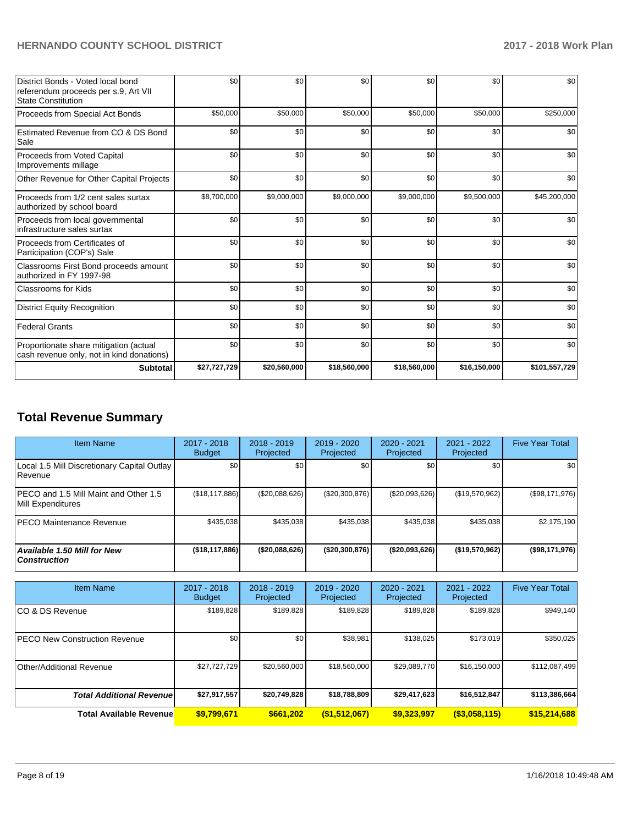| District Bonds - Voted local bond<br>referendum proceeds per s.9, Art VII<br><b>State Constitution</b> | \$0          | \$0          | \$0          | \$0          | \$0          | \$0           |
|--------------------------------------------------------------------------------------------------------|--------------|--------------|--------------|--------------|--------------|---------------|
| Proceeds from Special Act Bonds                                                                        | \$50,000     | \$50,000     | \$50,000     | \$50,000     | \$50,000     | \$250,000     |
| Estimated Revenue from CO & DS Bond<br>Sale                                                            | \$0          | \$0          | \$0          | \$0          | \$0          | \$0           |
| Proceeds from Voted Capital<br>Improvements millage                                                    | \$0          | \$0          | \$0          | \$0          | \$0          | \$0           |
| Other Revenue for Other Capital Projects                                                               | \$0          | \$0          | \$0          | \$0          | \$0          | \$0           |
| Proceeds from 1/2 cent sales surtax<br>authorized by school board                                      | \$8,700,000  | \$9,000,000  | \$9,000,000  | \$9,000,000  | \$9,500,000  | \$45,200,000  |
| Proceeds from local governmental<br>infrastructure sales surtax                                        | \$0          | \$0          | \$0          | \$0          | \$0          | \$0           |
| Proceeds from Certificates of<br>Participation (COP's) Sale                                            | \$0          | \$0          | \$0          | \$0          | \$0          | \$0           |
| Classrooms First Bond proceeds amount<br>authorized in FY 1997-98                                      | \$0          | \$0          | \$0          | \$0          | \$0          | \$0           |
| <b>Classrooms for Kids</b>                                                                             | \$0          | \$0          | \$0          | \$0          | \$0          | \$0           |
| <b>District Equity Recognition</b>                                                                     | \$0          | \$0          | \$0          | \$0          | \$0          | \$0           |
| <b>Federal Grants</b>                                                                                  | \$0          | \$0          | \$0          | \$0          | \$0          | \$0           |
| Proportionate share mitigation (actual<br>cash revenue only, not in kind donations)                    | \$0          | \$0          | \$0          | \$0          | \$0          | \$0           |
| <b>Subtotal</b>                                                                                        | \$27,727,729 | \$20,560,000 | \$18,560,000 | \$18,560,000 | \$16,150,000 | \$101,557,729 |

# **Total Revenue Summary**

| Item Name                                                  | $2017 - 2018$<br><b>Budget</b> | $2018 - 2019$<br>Projected | 2019 - 2020<br>Projected | $2020 - 2021$<br>Projected | 2021 - 2022<br>Projected | <b>Five Year Total</b> |
|------------------------------------------------------------|--------------------------------|----------------------------|--------------------------|----------------------------|--------------------------|------------------------|
| Local 1.5 Mill Discretionary Capital Outlay<br>l Revenue   | \$0 <sub>1</sub>               | \$0                        | \$0                      | \$0                        | \$0                      | \$0                    |
| PECO and 1.5 Mill Maint and Other 1.5<br>Mill Expenditures | (\$18, 117, 886)               | (\$20,088,626)             | (\$20,300,876)           | (\$20,093,626)             | (\$19,570,962)           | (\$98,171,976)         |
| IPECO Maintenance Revenue                                  | \$435.038                      | \$435,038                  | \$435,038                | \$435.038                  | \$435,038                | \$2,175,190            |
| <b>Available 1.50 Mill for New</b><br><b>Construction</b>  | (\$18,117,886)                 | (\$20,088,626)             | (\$20,300,876)           | ( \$20,093,626)            | (\$19,570,962)           | (\$98,171,976)         |

| <b>Item Name</b>                      | $2017 - 2018$<br><b>Budget</b> | $2018 - 2019$<br>Projected | 2019 - 2020<br>Projected | $2020 - 2021$<br>Projected | 2021 - 2022<br>Projected | <b>Five Year Total</b> |
|---------------------------------------|--------------------------------|----------------------------|--------------------------|----------------------------|--------------------------|------------------------|
| ICO & DS Revenue                      | \$189,828                      | \$189,828                  | \$189,828                | \$189,828                  | \$189,828                | \$949,140              |
| <b>IPECO New Construction Revenue</b> | \$0                            | \$0                        | \$38,981                 | \$138,025                  | \$173,019                | \$350,025              |
| Other/Additional Revenue              | \$27,727,729                   | \$20,560,000               | \$18,560,000             | \$29,089,770               | \$16,150,000             | \$112,087,499          |
| <b>Total Additional Revenuel</b>      | \$27,917,557                   | \$20,749,828               | \$18,788,809             | \$29,417,623               | \$16,512,847             | \$113,386,664          |
| <b>Total Available Revenue</b>        | \$9,799,671                    | \$661,202                  | (\$1,512,067)            | \$9,323,997                | $($ \$3,058,115)         | \$15,214,688           |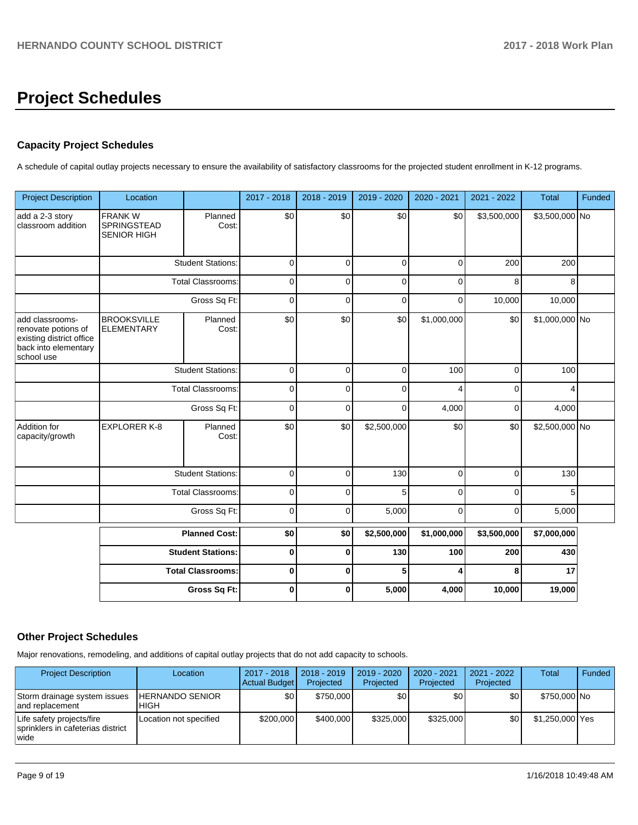# **Project Schedules**

# **Capacity Project Schedules**

A schedule of capital outlay projects necessary to ensure the availability of satisfactory classrooms for the projected student enrollment in K-12 programs.

| <b>Project Description</b>                                                                               | Location                                                                      |                          | 2017 - 2018 | 2018 - 2019 | 2019 - 2020 | 2020 - 2021 | 2021 - 2022  | <b>Total</b>   | Funded |
|----------------------------------------------------------------------------------------------------------|-------------------------------------------------------------------------------|--------------------------|-------------|-------------|-------------|-------------|--------------|----------------|--------|
| add a 2-3 story<br>classroom addition                                                                    | <b>FRANKW</b><br>Planned<br><b>SPRINGSTEAD</b><br>Cost:<br><b>SENIOR HIGH</b> |                          | \$0         | \$0         | \$0         | \$0         | \$3,500,000  | \$3,500,000 No |        |
|                                                                                                          |                                                                               | <b>Student Stations:</b> | $\mathbf 0$ | $\mathbf 0$ | $\mathbf 0$ | $\mathbf 0$ | 200          | 200            |        |
|                                                                                                          |                                                                               | <b>Total Classrooms:</b> | $\mathbf 0$ | $\mathbf 0$ | $\mathbf 0$ | 0           | 8            | 8              |        |
|                                                                                                          |                                                                               | Gross Sq Ft:             | $\mathbf 0$ | 0           | $\mathbf 0$ | 0           | 10,000       | 10,000         |        |
| add classrooms-<br>renovate potions of<br>existing district office<br>back into elementary<br>school use | <b>BROOKSVILLE</b><br>Planned<br><b>ELEMENTARY</b><br>Cost:                   |                          | \$0         | \$0         | \$0         | \$1,000,000 | \$0          | \$1,000,000 No |        |
|                                                                                                          |                                                                               | <b>Student Stations:</b> | $\mathbf 0$ | $\mathbf 0$ | $\mathbf 0$ | 100         | $\mathbf 0$  | 100            |        |
|                                                                                                          |                                                                               | <b>Total Classrooms:</b> | $\mathbf 0$ | 0           | $\mathbf 0$ | 4           | 0            | 4              |        |
|                                                                                                          |                                                                               | Gross Sq Ft:             | $\mathbf 0$ | 0           | $\mathbf 0$ | 4,000       | 0            | 4,000          |        |
| Addition for<br>capacity/growth                                                                          | <b>EXPLORER K-8</b>                                                           | Planned<br>Cost:         | \$0         | \$0         | \$2,500,000 | \$0         | \$0          | \$2,500,000 No |        |
|                                                                                                          |                                                                               | <b>Student Stations:</b> | $\mathbf 0$ | $\mathbf 0$ | 130         | $\mathbf 0$ | $\mathbf{0}$ | 130            |        |
|                                                                                                          |                                                                               | <b>Total Classrooms:</b> | $\mathbf 0$ | 0           | 5           | 0           | 0            | 5              |        |
|                                                                                                          | Gross Sq Ft:                                                                  |                          | 0           | 0           | 5,000       | 0           | 0            | 5,000          |        |
|                                                                                                          | <b>Planned Cost:</b>                                                          |                          | \$0         | \$0         | \$2,500,000 | \$1,000,000 | \$3,500,000  | \$7,000,000    |        |
|                                                                                                          |                                                                               | <b>Student Stations:</b> | $\mathbf 0$ | $\mathbf 0$ | 130         | 100         | 200          | 430            |        |
|                                                                                                          |                                                                               | <b>Total Classrooms:</b> | $\pmb{0}$   | 0           | 5           | 4           | 8            | 17             |        |
|                                                                                                          |                                                                               | Gross Sq Ft:             | $\mathbf 0$ | 0           | 5,000       | 4,000       | 10,000       | 19,000         |        |

# **Other Project Schedules**

Major renovations, remodeling, and additions of capital outlay projects that do not add capacity to schools.

| <b>Project Description</b>                                               | Location                         | 2017 - 2018<br>Actual Budget | $2018 - 2019$<br>Projected | $2019 - 2020$<br>Projected | 2020 - 2021<br>Projected | 2021 - 2022<br>Projected | <b>Total</b>    | Funded |
|--------------------------------------------------------------------------|----------------------------------|------------------------------|----------------------------|----------------------------|--------------------------|--------------------------|-----------------|--------|
| Storm drainage system issues<br>land replacement                         | <b>IHERNANDO SENIOR</b><br>IHIGH | \$0                          | \$750,000                  | \$0                        | \$0 I                    | \$0                      | \$750,000 No    |        |
| Life safety projects/fire<br>sprinklers in cafeterias district<br>l wide | Location not specified           | \$200,000                    | \$400,000                  | \$325,000                  | \$325,000                | \$0 <sub>l</sub>         | \$1,250,000 Yes |        |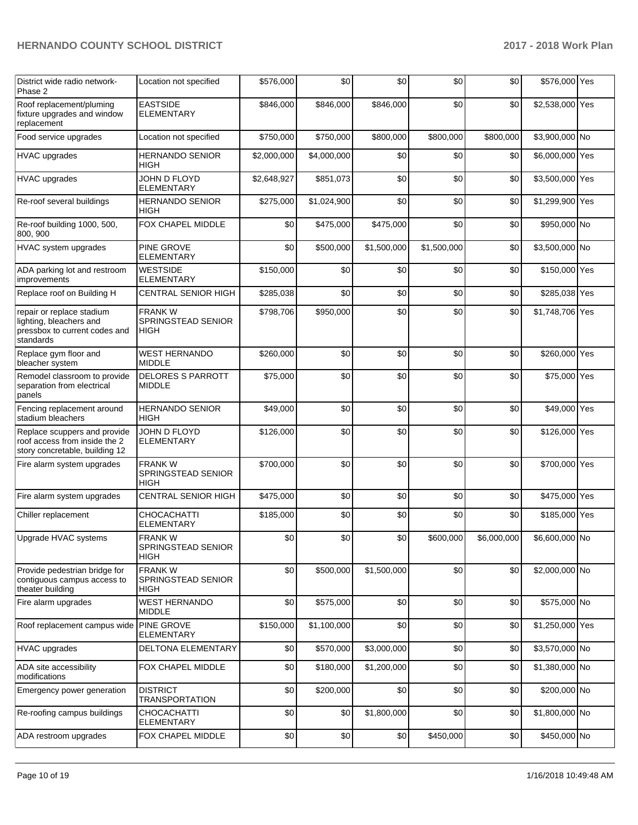| District wide radio network-<br>Phase 2                                                            | Location not specified                       | \$576,000   | \$0         | \$0         | \$0         | \$0         | \$576,000 Yes   |  |
|----------------------------------------------------------------------------------------------------|----------------------------------------------|-------------|-------------|-------------|-------------|-------------|-----------------|--|
| Roof replacement/pluming<br>fixture upgrades and window<br>replacement                             | <b>EASTSIDE</b><br><b>ELEMENTARY</b>         | \$846,000   | \$846,000   | \$846,000   | \$0         | \$0         | \$2,538,000 Yes |  |
| Food service upgrades                                                                              | Location not specified                       | \$750,000   | \$750,000   | \$800,000   | \$800,000   | \$800,000   | \$3,900,000 No  |  |
| <b>HVAC upgrades</b>                                                                               | HERNANDO SENIOR<br>HIGH                      | \$2,000,000 | \$4,000,000 | \$0         | \$0         | \$0         | \$6,000,000 Yes |  |
| <b>HVAC</b> upgrades                                                                               | JOHN D FLOYD<br><b>ELEMENTARY</b>            | \$2,648,927 | \$851,073   | \$0         | \$0         | \$0         | \$3,500,000 Yes |  |
| Re-roof several buildings                                                                          | <b>HERNANDO SENIOR</b><br>HIGH               | \$275,000   | \$1,024,900 | \$0         | \$0         | \$0         | \$1,299,900 Yes |  |
| Re-roof building 1000, 500,<br>800, 900                                                            | FOX CHAPEL MIDDLE                            | \$0         | \$475,000   | \$475,000   | \$0         | \$0         | \$950,000 No    |  |
| HVAC system upgrades                                                                               | PINE GROVE<br><b>ELEMENTARY</b>              | \$0         | \$500,000   | \$1,500,000 | \$1,500,000 | \$0         | \$3,500,000 No  |  |
| ADA parking lot and restroom<br>improvements                                                       | <b>WESTSIDE</b><br><b>ELEMENTARY</b>         | \$150,000   | \$0         | \$0         | \$0         | \$0         | \$150,000 Yes   |  |
| Replace roof on Building H                                                                         | <b>CENTRAL SENIOR HIGH</b>                   | \$285,038   | \$0         | \$0         | \$0         | \$0         | \$285,038 Yes   |  |
| repair or replace stadium<br>lighting, bleachers and<br>pressbox to current codes and<br>standards | <b>FRANKW</b><br>SPRINGSTEAD SENIOR<br>HIGH  | \$798,706   | \$950,000   | \$0         | \$0         | \$0         | \$1,748,706 Yes |  |
| Replace gym floor and<br>bleacher system                                                           | <b>WEST HERNANDO</b><br><b>MIDDLE</b>        | \$260,000   | \$0         | \$0         | \$0         | \$0         | \$260,000 Yes   |  |
| Remodel classroom to provide<br>separation from electrical<br>panels                               | <b>DELORES S PARROTT</b><br><b>MIDDLE</b>    | \$75,000    | \$0         | \$0         | \$0         | \$0         | \$75,000 Yes    |  |
| Fencing replacement around<br>stadium bleachers                                                    | <b>HERNANDO SENIOR</b><br>HIGH               | \$49,000    | \$0         | \$0         | \$0         | \$0         | \$49,000 Yes    |  |
| Replace scuppers and provide<br>roof access from inside the 2<br>story concretable, building 12    | JOHN D FLOYD<br><b>ELEMENTARY</b>            | \$126,000   | \$0         | \$0         | \$0         | \$0         | \$126,000 Yes   |  |
| Fire alarm system upgrades                                                                         | <b>FRANK W</b><br>SPRINGSTEAD SENIOR<br>HIGH | \$700,000   | \$0         | \$0         | \$0         | \$0         | \$700,000 Yes   |  |
| Fire alarm system upgrades                                                                         | <b>CENTRAL SENIOR HIGH</b>                   | \$475,000   | \$0         | \$0         | \$0         | \$0         | \$475,000 Yes   |  |
| Chiller replacement                                                                                | CHOCACHATTI<br><b>ELEMENTARY</b>             | \$185,000   | \$0         | \$0         | \$0         | \$0         | \$185,000 Yes   |  |
| Upgrade HVAC systems                                                                               | <b>FRANKW</b><br>SPRINGSTEAD SENIOR<br>HIGH  | \$0         | \$0         | \$0         | \$600,000   | \$6,000,000 | \$6,600,000 No  |  |
| Provide pedestrian bridge for<br>contiguous campus access to<br>theater building                   | <b>FRANKW</b><br>SPRINGSTEAD SENIOR<br>HIGH  | \$0         | \$500,000   | \$1,500,000 | \$0         | \$0         | \$2,000,000 No  |  |
| Fire alarm upgrades                                                                                | <b>WEST HERNANDO</b><br><b>MIDDLE</b>        | \$0         | \$575,000   | \$0         | \$0         | \$0         | \$575,000 No    |  |
| Roof replacement campus wide                                                                       | PINE GROVE<br><b>ELEMENTARY</b>              | \$150,000   | \$1,100,000 | \$0         | \$0         | \$0         | \$1,250,000 Yes |  |
| <b>HVAC</b> upgrades                                                                               | DELTONA ELEMENTARY                           | \$0         | \$570,000   | \$3,000,000 | \$0         | \$0         | \$3,570,000 No  |  |
| ADA site accessibility<br>modifications                                                            | FOX CHAPEL MIDDLE                            | \$0         | \$180,000   | \$1,200,000 | \$0         | \$0         | \$1,380,000 No  |  |
| Emergency power generation                                                                         | <b>DISTRICT</b><br><b>TRANSPORTATION</b>     | \$0         | \$200,000   | \$0         | \$0         | \$0         | \$200,000 No    |  |
| Re-roofing campus buildings                                                                        | <b>CHOCACHATTI</b><br><b>ELEMENTARY</b>      | \$0         | \$0         | \$1,800,000 | \$0         | \$0         | \$1,800,000 No  |  |
| ADA restroom upgrades                                                                              | FOX CHAPEL MIDDLE                            | \$0         | \$0         | \$0         | \$450,000   | \$0         | \$450,000 No    |  |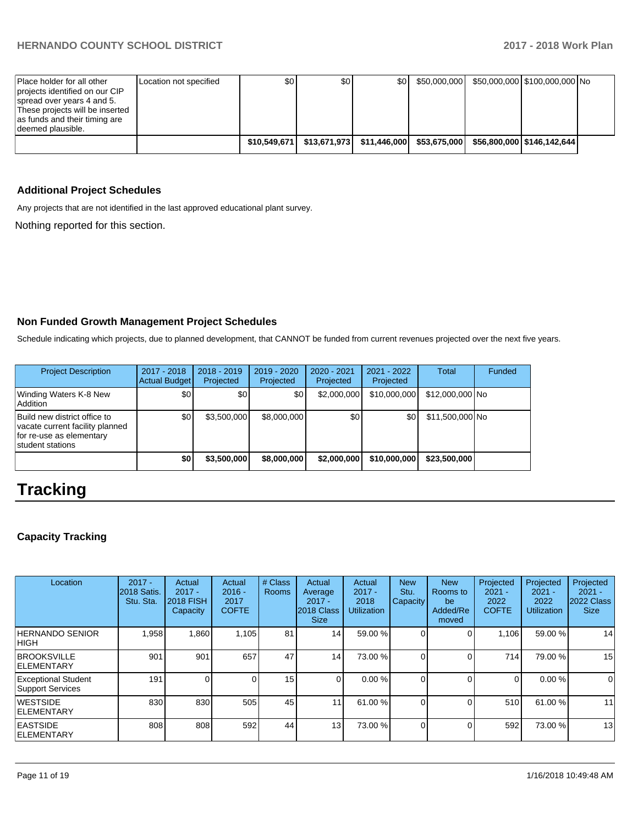| Place holder for all other                                       | Location not specified | \$0 | ا 30 | \$0 | \$50,000,000 | \$50,000,000 \$100,000,000 No |  |
|------------------------------------------------------------------|------------------------|-----|------|-----|--------------|-------------------------------|--|
| projects identified on our CIP                                   |                        |     |      |     |              |                               |  |
| spread over years 4 and 5.                                       |                        |     |      |     |              |                               |  |
| These projects will be inserted<br>as funds and their timing are |                        |     |      |     |              |                               |  |
| Ideemed plausible.                                               |                        |     |      |     |              |                               |  |
|                                                                  |                        |     |      |     |              |                               |  |
|                                                                  |                        |     |      |     |              |                               |  |

# **Additional Project Schedules**

Any projects that are not identified in the last approved educational plant survey.

Nothing reported for this section.

# **Non Funded Growth Management Project Schedules**

Schedule indicating which projects, due to planned development, that CANNOT be funded from current revenues projected over the next five years.

| <b>Project Description</b>                                                                                      | 2017 - 2018<br><b>Actual Budget</b> | $2018 - 2019$<br>Projected | 2019 - 2020<br>Projected | $2020 - 2021$<br>Projected | $2021 - 2022$<br>Projected | <b>Total</b>    | Funded |
|-----------------------------------------------------------------------------------------------------------------|-------------------------------------|----------------------------|--------------------------|----------------------------|----------------------------|-----------------|--------|
| Winding Waters K-8 New<br>Addition                                                                              | \$0                                 | \$0                        | \$0                      | \$2,000,000                | \$10,000,000               | \$12,000,000 No |        |
| Build new district office to<br>vacate current facility planned<br>for re-use as elementary<br>student stations | \$0                                 | \$3,500,000                | \$8,000,000              | \$0                        | \$0                        | \$11,500,000 No |        |
|                                                                                                                 | \$0                                 | \$3,500,000                | \$8,000,000              | \$2,000,000                | \$10,000,000               | \$23,500,000    |        |

# **Tracking**

# **Capacity Tracking**

| Location                                              | $2017 -$<br>2018 Satis.<br>Stu. Sta. | Actual<br>$2017 -$<br><b>2018 FISH</b><br>Capacity | Actual<br>$2016 -$<br>2017<br><b>COFTE</b> | # Class<br><b>Rooms</b> | Actual<br>Average<br>$2017 -$<br>2018 Class<br><b>Size</b> | Actual<br>$2017 -$<br>2018<br><b>Utilization</b> | <b>New</b><br>Stu.<br>Capacity | <b>New</b><br>Rooms to<br>be<br>Added/Re<br>moved | Projected<br>$2021 -$<br>2022<br><b>COFTE</b> | Projected<br>$2021 -$<br>2022<br><b>Utilization</b> | Projected<br>$2021 -$<br>2022 Class<br><b>Size</b> |
|-------------------------------------------------------|--------------------------------------|----------------------------------------------------|--------------------------------------------|-------------------------|------------------------------------------------------------|--------------------------------------------------|--------------------------------|---------------------------------------------------|-----------------------------------------------|-----------------------------------------------------|----------------------------------------------------|
| HERNANDO SENIOR<br><b>HIGH</b>                        | 1,958                                | 860. ا                                             | 1,105                                      | 81                      | 14 <sup>1</sup>                                            | 59.00 %                                          |                                |                                                   | 1,106                                         | 59.00 %                                             | 14                                                 |
| <b>BROOKSVILLE</b><br><b>IELEMENTARY</b>              | 901                                  | 901                                                | 657                                        | 47                      | 14 <sup>1</sup>                                            | 73.00 %                                          |                                |                                                   | 714                                           | 79.00 %                                             | 15                                                 |
| <b>Exceptional Student</b><br><b>Support Services</b> | 191                                  |                                                    |                                            | 15 <sub>1</sub>         | $\Omega$                                                   | 0.00%                                            |                                |                                                   | 0                                             | 0.00%                                               | $\Omega$                                           |
| <b>WESTSIDE</b><br><b>IELEMENTARY</b>                 | 830                                  | 830                                                | 505                                        | 45                      | 11                                                         | 61.00 %                                          |                                |                                                   | 510                                           | 61.00 %                                             | 11                                                 |
| <b>EASTSIDE</b><br><b>IELEMENTARY</b>                 | 808                                  | 808                                                | 592                                        | 44                      | 13 <sub>l</sub>                                            | 73.00 %                                          |                                |                                                   | 592                                           | 73.00 %                                             | 13                                                 |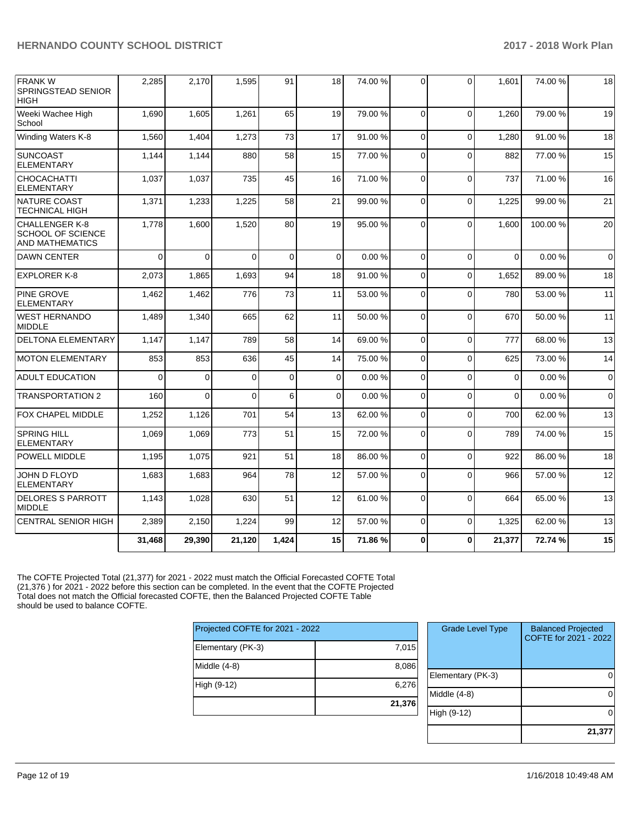| <b>FRANKW</b><br><b>SPRINGSTEAD SENIOR</b><br><b>HIGH</b>     | 2,285    | 2,170    | 1,595    | 91          | 18       | 74.00 % | $\Omega$ | 0              | 1,601    | 74.00 % | 18          |
|---------------------------------------------------------------|----------|----------|----------|-------------|----------|---------|----------|----------------|----------|---------|-------------|
| Weeki Wachee High<br>School                                   | 1,690    | 1,605    | 1,261    | 65          | 19       | 79.00 % | $\Omega$ | $\Omega$       | 1.260    | 79.00 % | 19          |
| Winding Waters K-8                                            | 1,560    | 1,404    | 1,273    | 73          | 17       | 91.00%  | $\Omega$ | $\Omega$       | 1,280    | 91.00 % | 18          |
| <b>SUNCOAST</b><br><b>ELEMENTARY</b>                          | 1,144    | 1,144    | 880      | 58          | 15       | 77.00 % | $\Omega$ | $\Omega$       | 882      | 77.00 % | 15          |
| <b>CHOCACHATTI</b><br><b>ELEMENTARY</b>                       | 1,037    | 1,037    | 735      | 45          | 16       | 71.00 % | $\Omega$ | $\overline{0}$ | 737      | 71.00 % | 16          |
| NATURE COAST<br><b>TECHNICAL HIGH</b>                         | 1,371    | 1,233    | 1,225    | 58          | 21       | 99.00 % | $\Omega$ | $\Omega$       | 1,225    | 99.00 % | 21          |
| CHALLENGER K-8<br>SCHOOL OF SCIENCE<br><b>AND MATHEMATICS</b> | 1,778    | 1,600    | 1,520    | 80          | 19       | 95.00 % | $\Omega$ | $\mathbf 0$    | 1,600    | 100.00% | 20          |
| <b>DAWN CENTER</b>                                            | $\Omega$ | $\Omega$ | $\Omega$ | $\Omega$    | $\Omega$ | 0.00%   | $\Omega$ | $\Omega$       | $\Omega$ | 0.00%   | $\mathbf 0$ |
| <b>EXPLORER K-8</b>                                           | 2,073    | 1,865    | 1,693    | 94          | 18       | 91.00%  | $\Omega$ | $\mathbf 0$    | 1,652    | 89.00%  | 18          |
| <b>PINE GROVE</b><br><b>ELEMENTARY</b>                        | 1,462    | 1,462    | 776      | 73          | 11       | 53.00 % | $\Omega$ | $\mathbf{0}$   | 780      | 53.00 % | 11          |
| <b>WEST HERNANDO</b><br><b>MIDDLE</b>                         | 1,489    | 1,340    | 665      | 62          | 11       | 50.00 % | $\Omega$ | $\Omega$       | 670      | 50.00 % | 11          |
| <b>DELTONA ELEMENTARY</b>                                     | 1,147    | 1,147    | 789      | 58          | 14       | 69.00 % | $\Omega$ | $\Omega$       | 777      | 68.00%  | 13          |
| <b>MOTON ELEMENTARY</b>                                       | 853      | 853      | 636      | 45          | 14       | 75.00 % | $\Omega$ | $\Omega$       | 625      | 73.00 % | 14          |
| <b>ADULT EDUCATION</b>                                        | $\Omega$ | $\Omega$ | $\Omega$ | $\mathbf 0$ | $\Omega$ | 0.00%   | $\Omega$ | $\Omega$       | $\Omega$ | 0.00%   | $\mathbf 0$ |
| <b>TRANSPORTATION 2</b>                                       | 160      | $\Omega$ | $\Omega$ | 6           | $\Omega$ | 0.00%   | $\Omega$ | $\Omega$       | $\Omega$ | 0.00%   | $\Omega$    |
| FOX CHAPEL MIDDLE                                             | 1,252    | 1,126    | 701      | 54          | 13       | 62.00%  | $\Omega$ | $\Omega$       | 700      | 62.00%  | 13          |
| <b>SPRING HILL</b><br><b>ELEMENTARY</b>                       | 1,069    | 1,069    | 773      | 51          | 15       | 72.00 % | 0        | $\mathbf 0$    | 789      | 74.00%  | 15          |
| POWELL MIDDLE                                                 | 1,195    | 1,075    | 921      | 51          | 18       | 86.00 % | $\Omega$ | $\Omega$       | 922      | 86.00 % | 18          |
| JOHN D FLOYD<br><b>ELEMENTARY</b>                             | 1,683    | 1,683    | 964      | 78          | 12       | 57.00 % | $\Omega$ | $\Omega$       | 966      | 57.00 % | 12          |
| <b>DELORES S PARROTT</b><br><b>MIDDLE</b>                     | 1,143    | 1,028    | 630      | 51          | 12       | 61.00%  | $\Omega$ | $\Omega$       | 664      | 65.00 % | 13          |
| <b>CENTRAL SENIOR HIGH</b>                                    | 2,389    | 2,150    | 1,224    | 99          | 12       | 57.00 % | $\Omega$ | $\mathbf{0}$   | 1,325    | 62.00 % | 13          |
|                                                               | 31,468   | 29,390   | 21,120   | 1,424       | 15       | 71.86%  | 0        | $\bf{0}$       | 21,377   | 72.74 % | 15          |

The COFTE Projected Total (21,377) for 2021 - 2022 must match the Official Forecasted COFTE Total (21,376 ) for 2021 - 2022 before this section can be completed. In the event that the COFTE Projected Total does not match the Official forecasted COFTE, then the Balanced Projected COFTE Table should be used to balance COFTE.

| 7,015  |
|--------|
| 8,086  |
| 6,276  |
| 21,376 |
|        |

| <b>Grade Level Type</b> | <b>Balanced Projected</b><br>COFTE for 2021 - 2022 |
|-------------------------|----------------------------------------------------|
| Elementary (PK-3)       |                                                    |
| Middle $(4-8)$          |                                                    |
| High (9-12)             |                                                    |
|                         | 21,377                                             |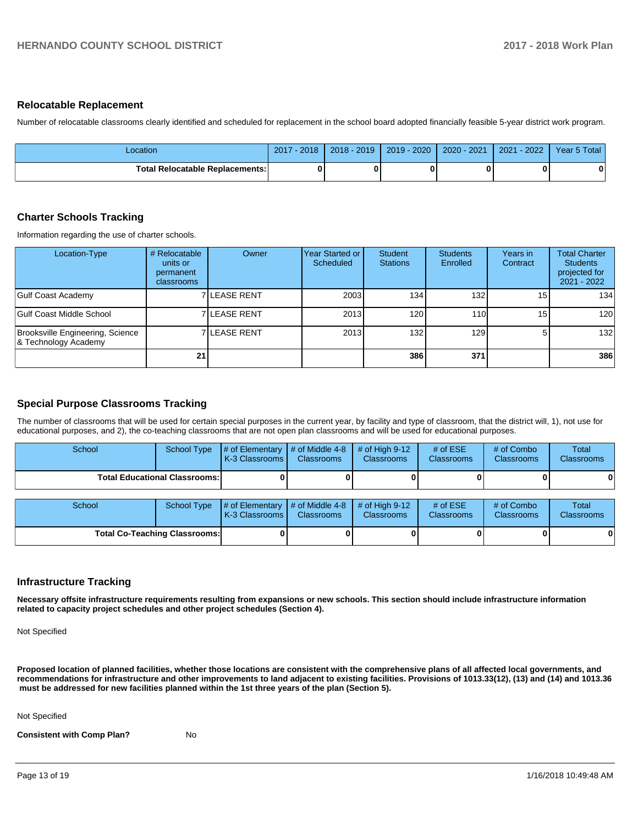#### **Relocatable Replacement**

Number of relocatable classrooms clearly identified and scheduled for replacement in the school board adopted financially feasible 5-year district work program.

| _ocation                               | $2017 - 2018$ | 2018 - 2019 | 2019 - 2020   2020 - 2021   2021 - 2022 | Year 5 Total |
|----------------------------------------|---------------|-------------|-----------------------------------------|--------------|
| <b>Total Relocatable Replacements:</b> |               |             |                                         | $\bf{0}$     |

#### **Charter Schools Tracking**

Information regarding the use of charter schools.

| Location-Type                                            | # Relocatable<br>units or<br>permanent<br>classrooms | Owner                | Year Started or !<br><b>Scheduled</b> | Student<br><b>Stations</b> | <b>Students</b><br>Enrolled | Years in<br>Contract | <b>Total Charter</b><br><b>Students</b><br>projected for<br>2021 - 2022 |
|----------------------------------------------------------|------------------------------------------------------|----------------------|---------------------------------------|----------------------------|-----------------------------|----------------------|-------------------------------------------------------------------------|
| <b>Gulf Coast Academy</b>                                |                                                      | <b>7 ILEASE RENT</b> | 2003                                  | 134 <sub>1</sub>           | 1321                        | 15 I                 | 134                                                                     |
| Gulf Coast Middle School                                 |                                                      | 7 LEASE RENT         | 2013                                  | 120                        | 110 <b>1</b>                | 15 <sub>l</sub>      | 120                                                                     |
| Brooksville Engineering, Science<br>& Technology Academy |                                                      | <b>7 ILEASE RENT</b> | 2013                                  | 132                        | 129                         |                      | 132                                                                     |
|                                                          | 21                                                   |                      |                                       | 386                        | 371                         |                      | 386                                                                     |

### **Special Purpose Classrooms Tracking**

The number of classrooms that will be used for certain special purposes in the current year, by facility and type of classroom, that the district will, 1), not use for educational purposes, and 2), the co-teaching classrooms that are not open plan classrooms and will be used for educational purposes.

| School | <b>School Type</b>                   | # of Elementary<br>K-3 Classrooms | # of Middle 4-8<br><b>Classrooms</b> | # of High $9-12$<br><b>Classrooms</b> | # of $ESE$<br><b>Classrooms</b> | # of Combo<br>Classrooms | <b>Total</b><br><b>Classrooms</b> |
|--------|--------------------------------------|-----------------------------------|--------------------------------------|---------------------------------------|---------------------------------|--------------------------|-----------------------------------|
|        | <b>Total Educational Classrooms:</b> |                                   |                                      |                                       |                                 |                          |                                   |
| School | <b>School Type</b>                   | # of Elementary<br>K-3 Classrooms | # of Middle 4-8<br><b>Classrooms</b> | # of High $9-12$<br>Classrooms        | # of $ESE$<br><b>Classrooms</b> | # of Combo<br>Classrooms | Total<br><b>Classrooms</b>        |
|        | <b>Total Co-Teaching Classrooms:</b> |                                   |                                      |                                       |                                 |                          |                                   |

# **Infrastructure Tracking**

**Necessary offsite infrastructure requirements resulting from expansions or new schools. This section should include infrastructure information related to capacity project schedules and other project schedules (Section 4).** 

Not Specified

**Proposed location of planned facilities, whether those locations are consistent with the comprehensive plans of all affected local governments, and recommendations for infrastructure and other improvements to land adjacent to existing facilities. Provisions of 1013.33(12), (13) and (14) and 1013.36** must be addressed for new facilities planned within the 1st three years of the plan (Section 5).

Not Specified

**Consistent with Comp Plan?** No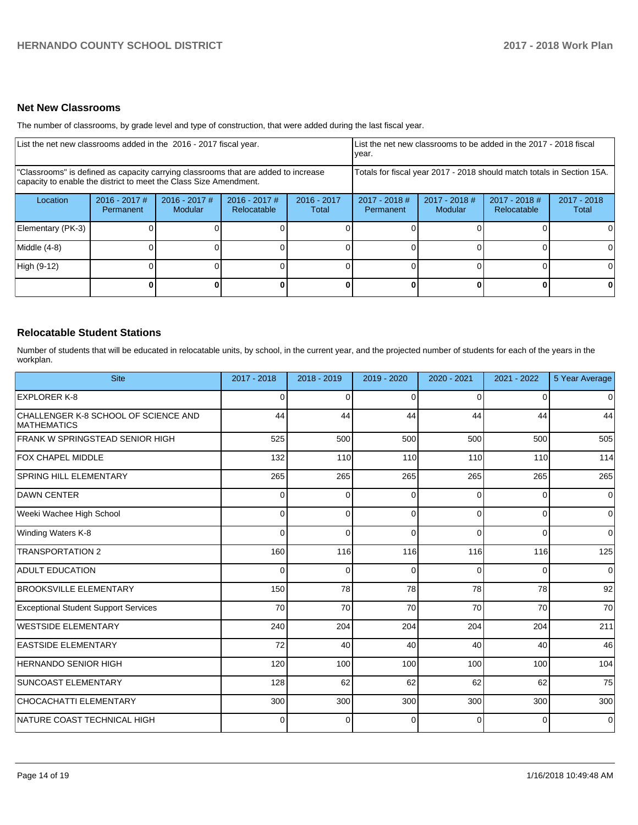#### **Net New Classrooms**

The number of classrooms, by grade level and type of construction, that were added during the last fiscal year.

| List the net new classrooms added in the 2016 - 2017 fiscal year.                                                                                       |                              |                                   |                                |                        | year.                        |                                                                        | List the net new classrooms to be added in the 2017 - 2018 fiscal |                        |
|---------------------------------------------------------------------------------------------------------------------------------------------------------|------------------------------|-----------------------------------|--------------------------------|------------------------|------------------------------|------------------------------------------------------------------------|-------------------------------------------------------------------|------------------------|
| "Classrooms" is defined as capacity carrying classrooms that are added to increase<br>capacity to enable the district to meet the Class Size Amendment. |                              |                                   |                                |                        |                              | Totals for fiscal year 2017 - 2018 should match totals in Section 15A. |                                                                   |                        |
| Location                                                                                                                                                | $2016 - 2017$ #<br>Permanent | $2016 - 2017$ #<br><b>Modular</b> | $2016 - 2017$ #<br>Relocatable | $2016 - 2017$<br>Total | $2017 - 2018$ #<br>Permanent | $2017 - 2018$ #<br>Modular                                             | $2017 - 2018$ #<br>Relocatable                                    | $2017 - 2018$<br>Total |
| Elementary (PK-3)                                                                                                                                       |                              |                                   |                                |                        |                              |                                                                        |                                                                   |                        |
| Middle (4-8)                                                                                                                                            |                              |                                   |                                |                        |                              |                                                                        |                                                                   |                        |
| High (9-12)                                                                                                                                             |                              |                                   |                                |                        |                              |                                                                        |                                                                   |                        |
|                                                                                                                                                         |                              |                                   |                                |                        |                              |                                                                        |                                                                   |                        |

# **Relocatable Student Stations**

Number of students that will be educated in relocatable units, by school, in the current year, and the projected number of students for each of the years in the workplan.

| <b>Site</b>                                                | 2017 - 2018 | 2018 - 2019 | 2019 - 2020 | 2020 - 2021 | 2021 - 2022 | 5 Year Average |
|------------------------------------------------------------|-------------|-------------|-------------|-------------|-------------|----------------|
| <b>EXPLORER K-8</b>                                        | $\Omega$    | $\Omega$    | 0           | $\Omega$    | 0           | 0              |
| CHALLENGER K-8 SCHOOL OF SCIENCE AND<br><b>MATHEMATICS</b> | 44          | 44          | 44          | 44          | 44          | 44             |
| FRANK W SPRINGSTEAD SENIOR HIGH                            | 525         | 500         | 500         | 500         | 500         | 505            |
| FOX CHAPEL MIDDLE                                          | 132         | 110         | 110         | 110         | 110         | 114            |
| <b>SPRING HILL ELEMENTARY</b>                              | 265         | 265         | 265         | 265         | 265         | 265            |
| <b>DAWN CENTER</b>                                         | 0           | $\Omega$    | $\Omega$    | $\Omega$    | $\Omega$    | 0              |
| Weeki Wachee High School                                   | 0           | $\Omega$    | $\Omega$    | $\Omega$    | $\Omega$    | 0              |
| Winding Waters K-8                                         | 0           | $\Omega$    | $\Omega$    | $\Omega$    | $\Omega$    | 0              |
| <b>TRANSPORTATION 2</b>                                    | 160         | 116         | 116         | 116         | 116         | 125            |
| <b>ADULT EDUCATION</b>                                     | 0           | $\Omega$    | $\Omega$    | $\Omega$    | $\Omega$    | 0              |
| <b>BROOKSVILLE ELEMENTARY</b>                              | 150         | 78          | 78          | 78          | 78          | 92             |
| <b>Exceptional Student Support Services</b>                | 70          | 70          | 70          | 70          | 70          | 70             |
| <b>WESTSIDE ELEMENTARY</b>                                 | 240         | 204         | 204         | 204         | 204         | 211            |
| <b>EASTSIDE ELEMENTARY</b>                                 | 72          | 40          | 40          | 40          | 40          | 46             |
| <b>HERNANDO SENIOR HIGH</b>                                | 120         | 100         | 100         | 100         | 100         | 104            |
| <b>SUNCOAST ELEMENTARY</b>                                 | 128         | 62          | 62          | 62          | 62          | 75             |
| <b>CHOCACHATTI ELEMENTARY</b>                              | 300         | 300         | 300         | 300         | 300         | 300            |
| INATURE COAST TECHNICAL HIGH                               | 0           | $\Omega$    | 0           | 0           | $\Omega$    | $\Omega$       |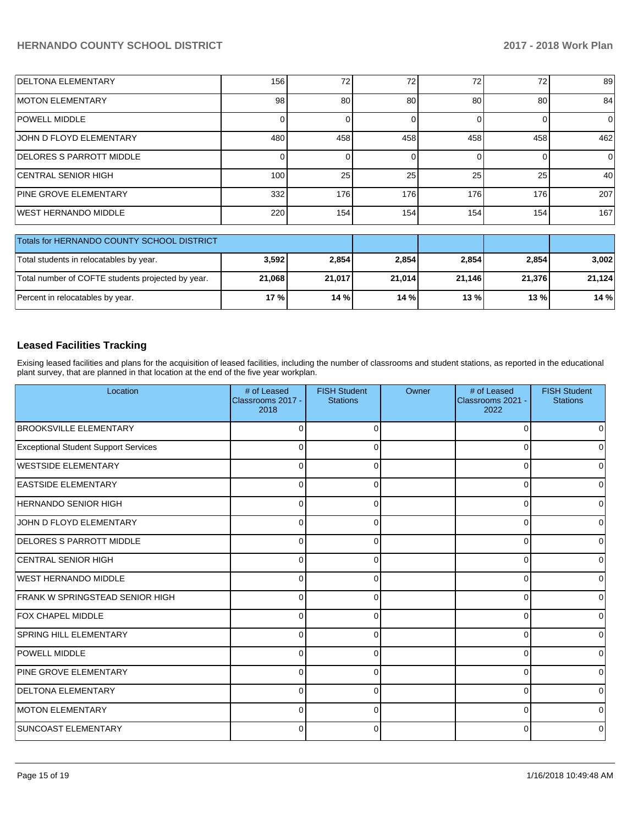| <b>DELTONA ELEMENTARY</b>    | 156 | 72 <sub>1</sub> | 72  | 72  | 72  | 89  |
|------------------------------|-----|-----------------|-----|-----|-----|-----|
| <b>IMOTON ELEMENTARY</b>     | 98  | 80              | 80  | 80  | 80  | 84  |
| <b>POWELL MIDDLE</b>         |     |                 |     |     |     | 0   |
| UOHN D FLOYD ELEMENTARY      | 480 | 458             | 458 | 458 | 458 | 462 |
| DELORES S PARROTT MIDDLE     |     |                 |     |     |     | 01  |
| <b>ICENTRAL SENIOR HIGH</b>  | 100 | 25              | 25  | 25  | 25  | 40  |
| <b>PINE GROVE ELEMENTARY</b> | 332 | 176             | 176 | 176 | 176 | 207 |
| <b>WEST HERNANDO MIDDLE</b>  | 220 | 154             | 154 | 154 | 154 | 167 |

| Totals for HERNANDO COUNTY SCHOOL DISTRICT        |        |        |        |        |        |        |
|---------------------------------------------------|--------|--------|--------|--------|--------|--------|
| Total students in relocatables by year.           | 3,592  | 2,854  | 2,854  | 2.854  | 2,854  | 3,002  |
| Total number of COFTE students projected by year. | 21,068 | 21.017 | 21,014 | 21.146 | 21.376 | 21.124 |
| Percent in relocatables by year.                  | 17%    | 14%    | 14%    | 13%    | 13%    | 14%    |

# **Leased Facilities Tracking**

Exising leased facilities and plans for the acquisition of leased facilities, including the number of classrooms and student stations, as reported in the educational plant survey, that are planned in that location at the end of the five year workplan.

| Location                                    | # of Leased<br>Classrooms 2017 -<br>2018 | <b>FISH Student</b><br><b>Stations</b> | Owner | # of Leased<br>Classrooms 2021 -<br>2022 | <b>FISH Student</b><br><b>Stations</b> |
|---------------------------------------------|------------------------------------------|----------------------------------------|-------|------------------------------------------|----------------------------------------|
| <b>BROOKSVILLE ELEMENTARY</b>               | r                                        | O                                      |       | $\Omega$                                 |                                        |
| <b>Exceptional Student Support Services</b> | C                                        |                                        |       | $\Omega$                                 |                                        |
| WESTSIDE ELEMENTARY                         | $\Omega$                                 | C                                      |       | 0                                        |                                        |
| <b>EASTSIDE ELEMENTARY</b>                  | C                                        |                                        |       | $\Omega$                                 |                                        |
| <b>HERNANDO SENIOR HIGH</b>                 | $\Omega$                                 | C                                      |       | $\Omega$                                 |                                        |
| JOHN D FLOYD ELEMENTARY                     | $\Omega$                                 | O                                      |       | $\Omega$                                 |                                        |
| <b>DELORES S PARROTT MIDDLE</b>             | $\Omega$                                 | $\Omega$                               |       | $\Omega$                                 | U                                      |
| <b>CENTRAL SENIOR HIGH</b>                  | $\Omega$                                 | $\Omega$                               |       | $\Omega$                                 | $\Omega$                               |
| WEST HERNANDO MIDDLE                        | $\Omega$                                 | $\Omega$                               |       | $\Omega$                                 | 0                                      |
| FRANK W SPRINGSTEAD SENIOR HIGH             | $\Omega$                                 | $\Omega$                               |       | $\Omega$                                 | U                                      |
| <b>FOX CHAPEL MIDDLE</b>                    | $\Omega$                                 | $\Omega$                               |       | 0                                        |                                        |
| <b>SPRING HILL ELEMENTARY</b>               | $\Omega$                                 | 0                                      |       | $\Omega$                                 |                                        |
| <b>POWELL MIDDLE</b>                        | $\Omega$                                 | 0                                      |       | $\Omega$                                 |                                        |
| <b>PINE GROVE ELEMENTARY</b>                | $\Omega$                                 | $\Omega$                               |       | $\Omega$                                 | 0                                      |
| <b>DELTONA ELEMENTARY</b>                   | $\Omega$                                 | $\Omega$                               |       | 0                                        | 0                                      |
| <b>MOTON ELEMENTARY</b>                     | $\Omega$                                 | $\Omega$                               |       | 0                                        | <sup>0</sup>                           |
| <b>SUNCOAST ELEMENTARY</b>                  | $\Omega$                                 | 0                                      |       | $\Omega$                                 | <sup>0</sup>                           |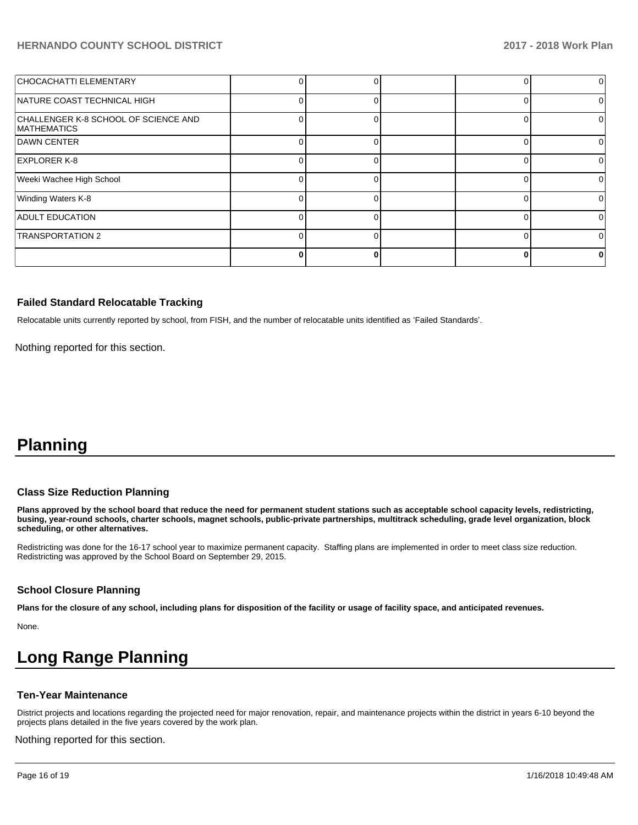| CHOCACHATTI ELEMENTARY                                     |  |  |  |
|------------------------------------------------------------|--|--|--|
| NATURE COAST TECHNICAL HIGH                                |  |  |  |
| CHALLENGER K-8 SCHOOL OF SCIENCE AND<br><b>MATHEMATICS</b> |  |  |  |
| DAWN CENTER                                                |  |  |  |
| <b>EXPLORER K-8</b>                                        |  |  |  |
| Weeki Wachee High School                                   |  |  |  |
| Winding Waters K-8                                         |  |  |  |
| <b>ADULT EDUCATION</b>                                     |  |  |  |
| <b>TRANSPORTATION 2</b>                                    |  |  |  |
|                                                            |  |  |  |

#### **Failed Standard Relocatable Tracking**

Relocatable units currently reported by school, from FISH, and the number of relocatable units identified as 'Failed Standards'.

Nothing reported for this section.

# **Planning**

### **Class Size Reduction Planning**

**Plans approved by the school board that reduce the need for permanent student stations such as acceptable school capacity levels, redistricting, busing, year-round schools, charter schools, magnet schools, public-private partnerships, multitrack scheduling, grade level organization, block scheduling, or other alternatives.**

Redistricting was done for the 16-17 school year to maximize permanent capacity. Staffing plans are implemented in order to meet class size reduction. Redistricting was approved by the School Board on September 29, 2015.

### **School Closure Planning**

**Plans for the closure of any school, including plans for disposition of the facility or usage of facility space, and anticipated revenues.** 

None.

# **Long Range Planning**

#### **Ten-Year Maintenance**

District projects and locations regarding the projected need for major renovation, repair, and maintenance projects within the district in years 6-10 beyond the projects plans detailed in the five years covered by the work plan.

Nothing reported for this section.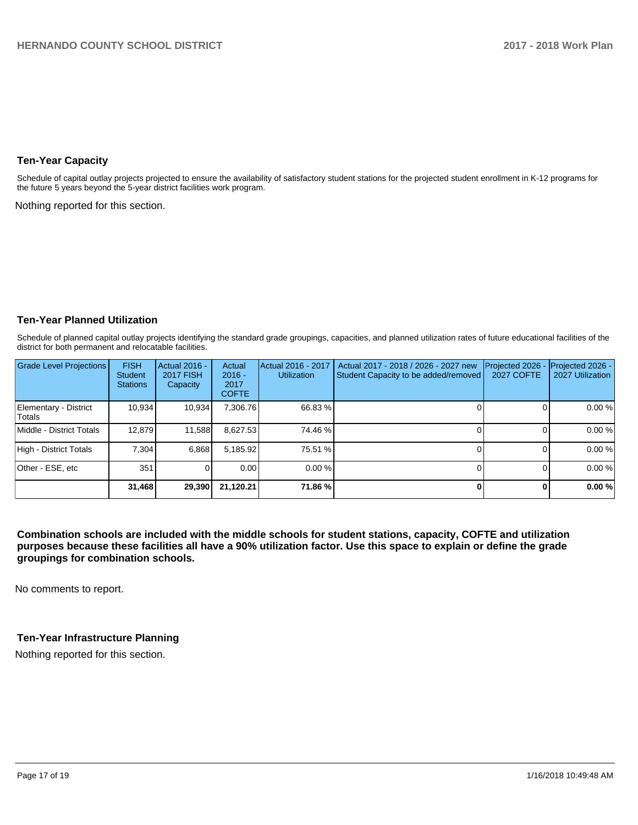### **Ten-Year Capacity**

Schedule of capital outlay projects projected to ensure the availability of satisfactory student stations for the projected student enrollment in K-12 programs for the future 5 years beyond the 5-year district facilities work program.

Nothing reported for this section.

### **Ten-Year Planned Utilization**

Schedule of planned capital outlay projects identifying the standard grade groupings, capacities, and planned utilization rates of future educational facilities of the district for both permanent and relocatable facilities.

| <b>Grade Level Projections</b>   | <b>FISH</b><br><b>Student</b><br><b>Stations</b> | <b>Actual 2016 -</b><br><b>2017 FISH</b><br>Capacity | Actual<br>$2016 -$<br>2017<br><b>COFTE</b> | Actual 2016 - 2017<br><b>Utilization</b> | Actual 2017 - 2018 / 2026 - 2027 new<br>Student Capacity to be added/removed | Projected 2026<br><b>2027 COFTE</b> | Projected 2026 -<br>2027 Utilization |
|----------------------------------|--------------------------------------------------|------------------------------------------------------|--------------------------------------------|------------------------------------------|------------------------------------------------------------------------------|-------------------------------------|--------------------------------------|
| Elementary - District<br>lTotals | 10.934                                           | 10,934                                               | 7,306.76                                   | 66.83 %                                  |                                                                              |                                     | 0.00%                                |
| Middle - District Totals         | 12.879                                           | 11,588                                               | 8,627.53                                   | 74.46 %                                  |                                                                              |                                     | 0.00%                                |
| High - District Totals           | 7.304                                            | 6,868                                                | 5,185.92                                   | 75.51 %                                  |                                                                              |                                     | 0.00%                                |
| Other - ESE, etc                 | 351                                              |                                                      | 0.00                                       | 0.00%                                    |                                                                              |                                     | 0.00%                                |
|                                  | 31,468                                           | 29,390                                               | 21.120.21                                  | 71.86 %                                  |                                                                              | ŋ                                   | 0.00%                                |

**Combination schools are included with the middle schools for student stations, capacity, COFTE and utilization purposes because these facilities all have a 90% utilization factor. Use this space to explain or define the grade groupings for combination schools.** 

No comments to report.

### **Ten-Year Infrastructure Planning**

Nothing reported for this section.